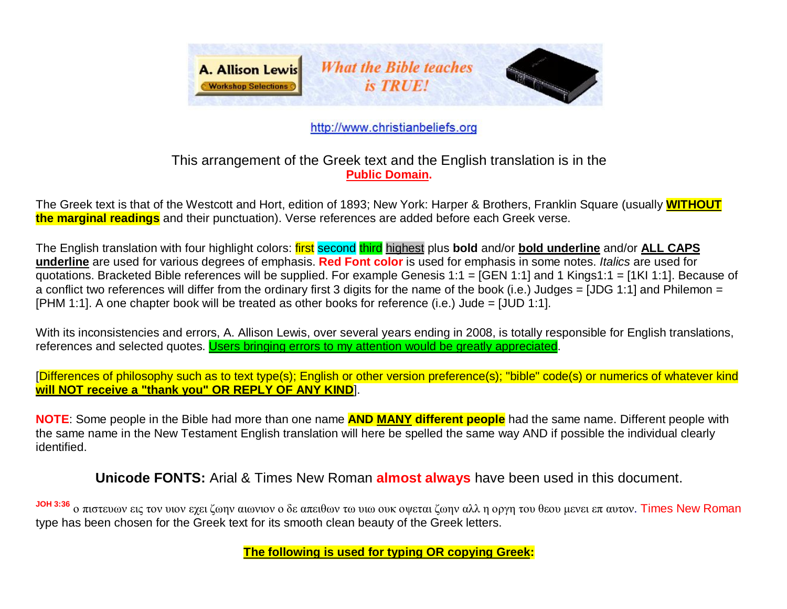

# http://www.christianbeliefs.org

# This arrangement of the Greek text and the English translation is in the **Public Domain.**

The Greek text is that of the Westcott and Hort, edition of 1893; New York: Harper & Brothers, Franklin Square (usually **WITHOUT the marginal readings** and their punctuation). Verse references are added before each Greek verse.

The English translation with four highlight colors: first second third highest plus **bold** and/or **bold underline** and/or **ALL CAPS underline** are used for various degrees of emphasis. **Red Font color** is used for emphasis in some notes. *Italics* are used for quotations. Bracketed Bible references will be supplied. For example Genesis 1:1 = [GEN 1:1] and 1 Kings1:1 = [1KI 1:1]. Because of a conflict two references will differ from the ordinary first 3 digits for the name of the book (i.e.) Judges = [JDG 1:1] and Philemon = [PHM 1:1]. A one chapter book will be treated as other books for reference (i.e.) Jude = [JUD 1:1].

With its inconsistencies and errors, A. Allison Lewis, over several years ending in 2008, is totally responsible for English translations, references and selected quotes. Users bringing errors to my attention would be greatly appreciated.

[Differences of philosophy such as to text type(s); English or other version preference(s); "bible" code(s) or numerics of whatever kind **will NOT receive a "thank you" OR REPLY OF ANY KIND**].

**NOTE**: Some people in the Bible had more than one name **AND MANY different people** had the same name. Different people with the same name in the New Testament English translation will here be spelled the same way AND if possible the individual clearly identified.

**Unicode FONTS:** Arial & Times New Roman **almost always** have been used in this document.

**JOH 3:36** ο πιστευων εις τον υιον εχει ζωην αιωνιον ο δε απειθων τω υιω ουκ οψεται ζωην αλλ η οργη του θεου μενει επ αυτον. Times New Roman type has been chosen for the Greek text for its smooth clean beauty of the Greek letters.

**The following is used for typing OR copying Greek:**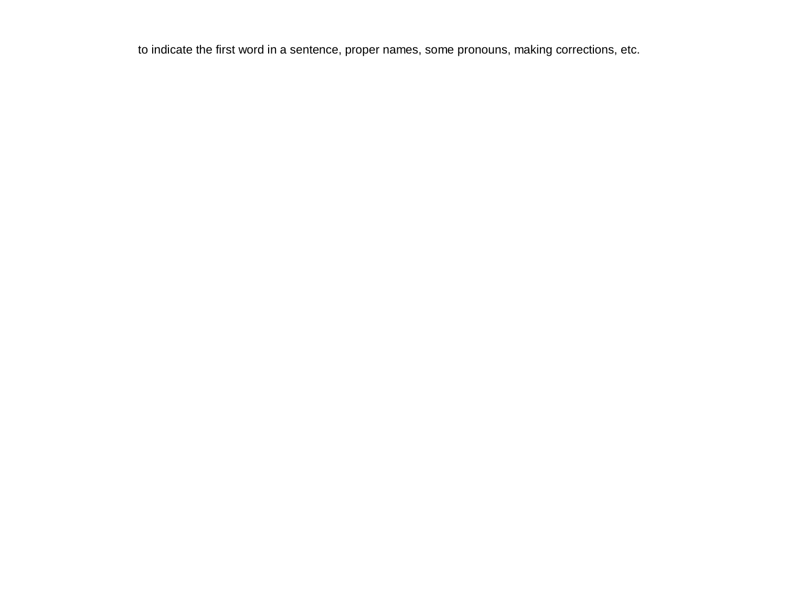to indicate the first word in a sentence, proper names, some pronouns, making corrections, etc.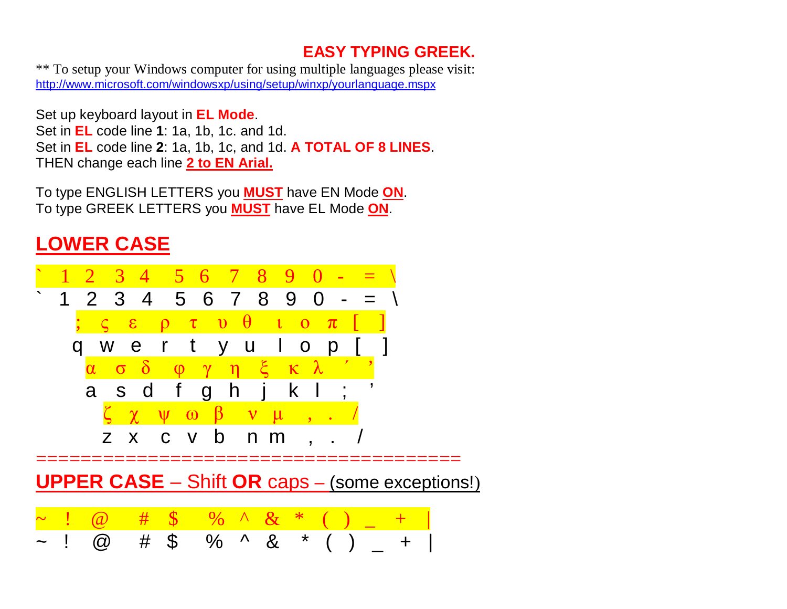# **EASY TYPING GREEK.**

\*\* To setup your Windows computer for using multiple languages please visit: <http://www.microsoft.com/windowsxp/using/setup/winxp/yourlanguage.mspx>

Set up keyboard layout in **EL Mode**.

Set in **EL** code line **1**: 1a, 1b, 1c. and 1d.

Set in **EL** code line **2**: 1a, 1b, 1c, and 1d. **A TOTAL OF 8 LINES**. THEN change each line **2 to EN Arial.**

To type ENGLISH LETTERS you **MUST** have EN Mode **ON**. To type GREEK LETTERS you **MUST** have EL Mode **ON**.

# **LOWER CASE**

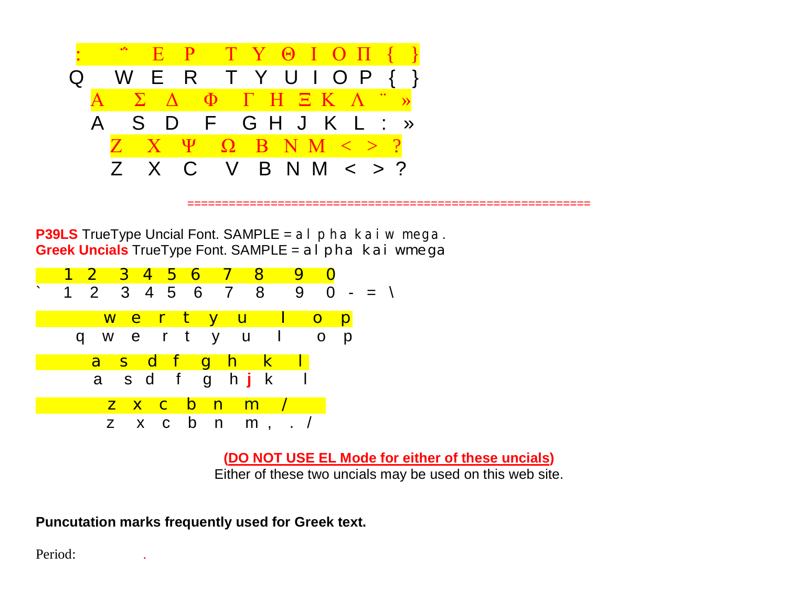

**P39LS** TrueType Uncial Font. SAMPLE = al pha kai wmega. **Greek Uncials** TrueType Font. SAMPLE = al pha kai wmega



**(DO NOT USE EL Mode for either of these uncials)**

==========================================================

Either of these two uncials may be used on this web site.

**Puncutation marks frequently used for Greek text.**

Period: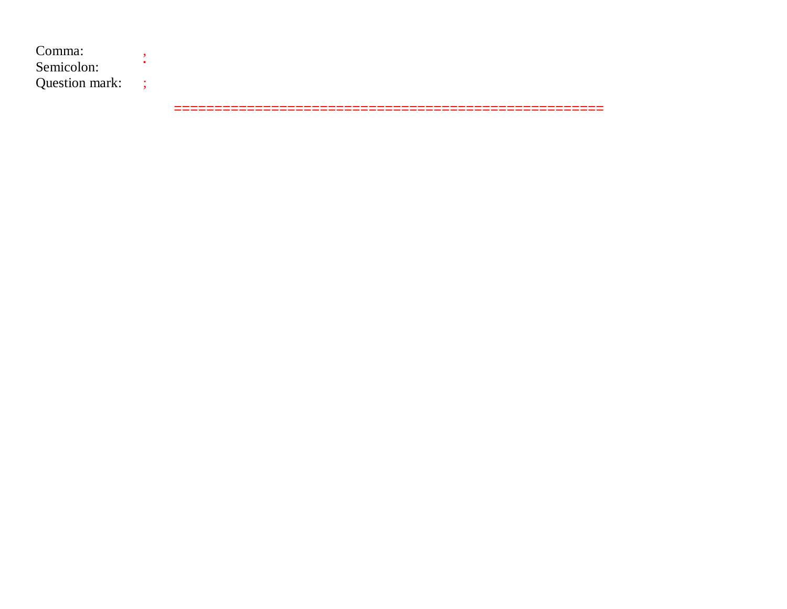Comma: Semicolon: • Question mark: ;

=====================================================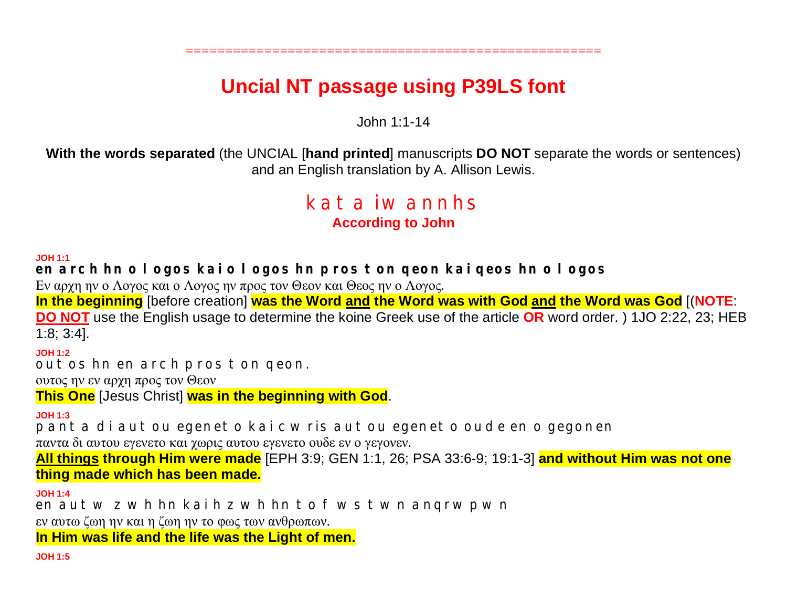# **Uncial NT passage using P39LS font**

=====================================================

John 1:1-14

**With the words separated** (the UNCIAL [**hand printed**] manuscripts **DO NOT** separate the words or sentences) and an English translation by A. Allison Lewis.

# kata iwannhs **According to John**

**JOH 1:1**

**en arch hn o logos kai o logos hn pros ton qeon kai qeos hn o logos**

Εν αρχη ην ο Λογος και ο Λογος ην προς τον Θεον και Θεος ην ο Λογος.

**In the beginning** [before creation] **was the Word and the Word was with God and the Word was God** [(**NOTE**:

**DO NOT** use the English usage to determine the koine Greek use of the article **OR** word order. ) 1JO 2:22, 23; HEB 1:8; 3:4].

**JOH 1:2**

outos hn en arch pros ton qeon.

ουτος ην εν αρχη προς τον Θεον

**This One** [Jesus Christ] **was in the beginning with God**.

**JOH 1:3**

panta di autou egeneto kai cwris autou egeneto oude en o gegonen

παντα δι αυτου εγενετο και χωρις αυτου εγενετο ουδε εν ο γεγονεν.

**All things through Him were made** [EPH 3:9; GEN 1:1, 26; PSA 33:6-9; 19:1-3] **and without Him was not one thing made which has been made.**

**JOH 1:4**

en autw z wh hn kai h z wh hn to fws twn angrwpwn

εν αυτω ζωη ην και η ζωη ην το φως των ανθρωπων.

**In Him was life and the life was the Light of men.**

**JOH 1:5**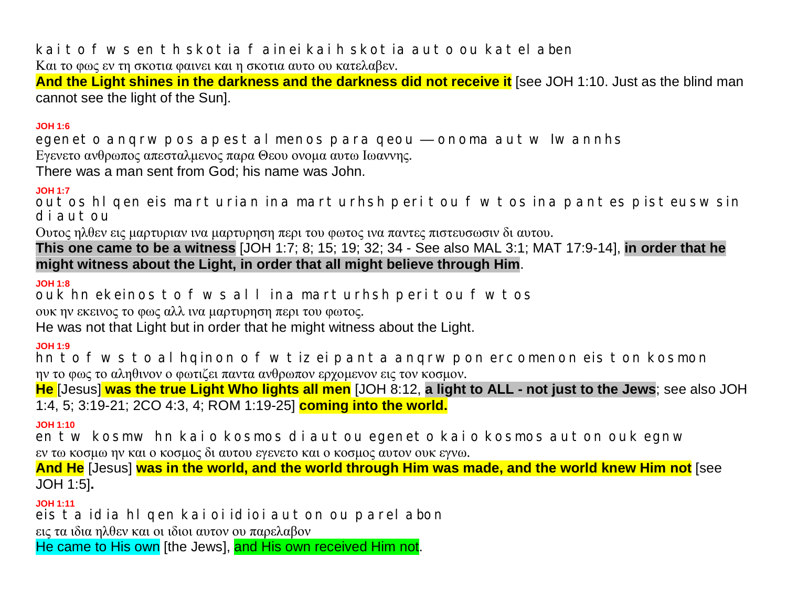kaitof ws en th skotia fainei kaih skotia auto ou katel aben

Και το φως εν τη σκοτια φαινει και η σκοτια αυτο ου κατελαβεν. And the Light shines in the darkness and the darkness did not receive it [see JOH 1:10. Just as the blind man

cannot see the light of the Sun].

### $3:1$  HOL

egenet o angrwpos apest al menos para geou — onoma aut w Iwannhs Εγενετο ανθρωπος απεσταλμενος παρα Θεου ονομα αυτω Ιωαννης.

There was a man sent from God; his name was John.

### **JOH 1:7**

out os hI gen eis mart urian ina mart urhsh peri tou f wtos ina pantes pisteuswsin diautou

Ουτος ηλθεν εις μαρτυριαν ινα μαρτυρηση περι του φωτος ινα παντες πιστευσωσιν δι αυτου.

This one came to be a witness [JOH 1:7; 8; 15; 19; 32; 34 - See also MAL 3:1; MAT 17:9-14], in order that he might witness about the Light, in order that all might believe through Him.

### **JOH 1:8**

ouk hn ekeinos to f ws all ina marturhsh peritou f wtos ουκ ην εκεινος το φως αλλ ινα μαρτυρηση περι του φωτος.

He was not that Light but in order that he might witness about the Light.

### **JOH 1:9**

hn to f ws to al hqinon o f wtiz ei pant a angrwpon ercomenon eis ton kosmon ην το φως το αληθινον ο φωτιζει παντα ανθρωπον εργομενον εις τον κοσμον.

He [Jesus] was the true Light Who lights all men [JOH 8:12, a light to ALL - not just to the Jews; see also JOH 1:4, 5; 3:19-21; 2CO 4:3, 4; ROM 1:19-25] coming into the world.

# $JOH 1:10$

en tw kosmw hn kaio kosmos di autou egeneto kaio kosmos auton ouk egnw εν τω κοσμω ην και ο κοσμος δι αυτου εγενετο και ο κοσμος αυτον ουκ εγνω.

And He [Jesus] was in the world, and the world through Him was made, and the world knew Him not [see JOH 1:5].

### **JOH 1:11**

eis ta idia hl qen kai oi idioi auton ou parel abon

εις τα ιδια ηλθεν και οι ιδιοι αυτον ου παρελαβον

He came to His own [the Jews], and His own received Him not.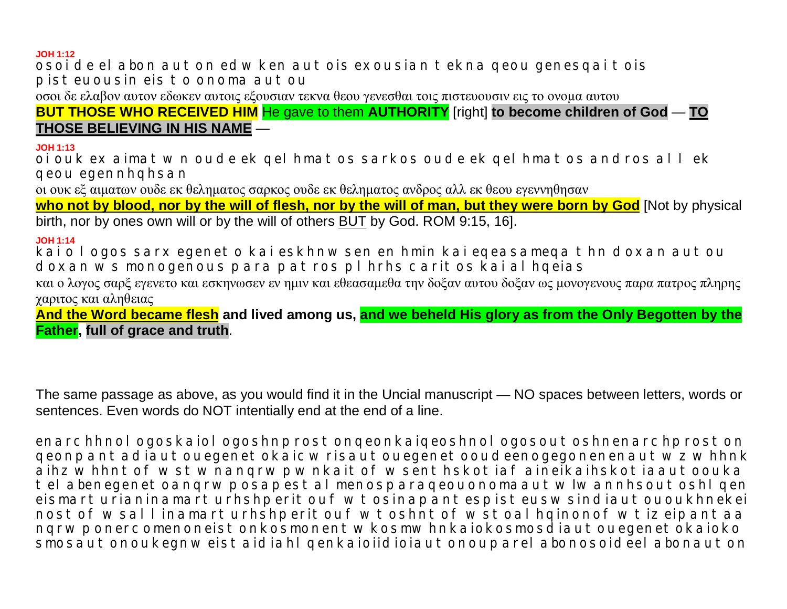#### **JOH 1:12**

osoi de el abon auton edwken autois exousian tekna geou genesgai tois pisteuousin eis to onoma autou

οσοι δε ελαβον αυτον εδωκεν αυτοις εξουσιαν τεκνα θεου γενεσθαι τοις πιστευουσιν εις το ονομα αυτου

**BUT THOSE WHO RECEIVED HIM** He gave to them **AUTHORITY** [right] to become children of God - TO THOSE BELIEVING IN HIS NAME -

#### **JOH 1:13**

oi ouk ex aimat wn oude ek gel hmat os sarkos oude ek gel hmat os andros allek qeou egennhqhsan

οι ουκ εξ αιματων ουδε εκ θεληματος σαρκος ουδε εκ θεληματος ανδρος αλλ εκ θεου εγεννηθησαν

who not by blood, nor by the will of flesh, nor by the will of man, but they were born by God Mot by physical birth, nor by ones own will or by the will of others BUT by God. ROM 9:15, 16].

### **JOH 1:14**

kai o I ogos sarx egenet o kai eskhnwsen en hmin kai egeasamega thn doxan autou doxan ws monogenous para pat ros pl hrhs caritos kai al hoeias

και ο λογος σαρξ εγενετο και εσκηνωσεν εν ημιν και εθεασαμεθα την δοξαν αυτου δοξαν ως μονογενους παρα πατρος πληρης γαριτος και αληθειας

And the Word became flesh and lived among us, and we beheld His glory as from the Only Begotten by the **Father, full of grace and truth.** 

The same passage as above, as you would find it in the Uncial manuscript — NO spaces between letters, words or sentences. Even words do NOT intentially end at the end of a line.

enarchhnol ogoskaiol ogoshnprost ongeonkaigeoshnol ogosout oshnenarchprost on geonpant adiaut ouegenet okaic wrisaut ouegenet ooudeenogegonenenaut wz whhnk aihz whhnt of wst wnangrwpwnkait of wsent hskot iaf aineikaihskot jaaut oouka tel abenegenet oangrwposapestal menosparaqeouonomaaut wlwannhsout oshl qen eismart urianinamart urhshperit ouf wt osinapant espist eus wsindiaut ou oukhnekei nost of wsall inamart urhshperit ouf wtoshnt of wst oal hqinonof wtizeipant aa ngrwponercomenoneistonkosmonentwkosmwhnkaiokosmosdiautouegenetokaioko smosaut onoukegnweist aidiahl genkaioiidioiaut onouparel abonosoideel abonaut on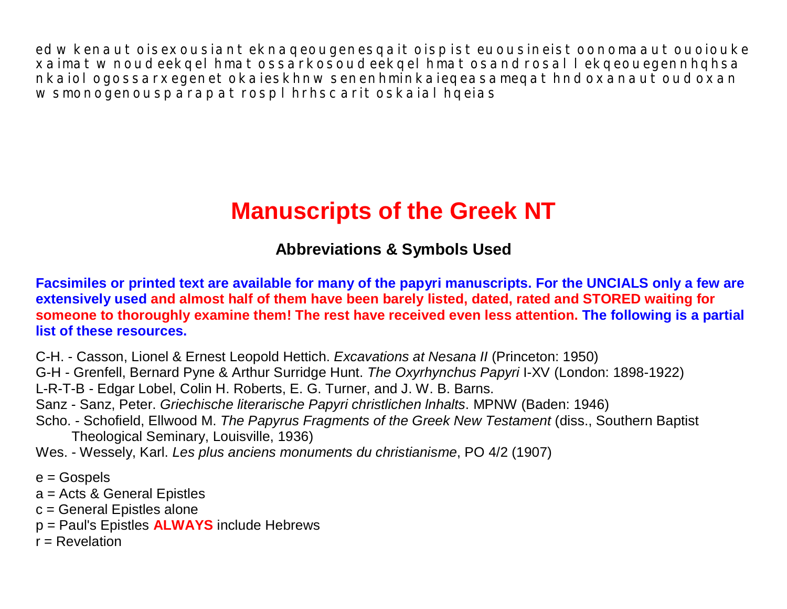edwkenautoisexousianteknaqeougenesqaitoispisteuousineistoonomaautouoiouke xaimatwnoudeekqelhmatossarkosoudeekqelhmatosandrosallekqeouegennhqhsa nkaiologossarxegenetokaieskhnwsenenhminkaiegeasamegathndoxanautoudoxan wsmonogenousparapatrosplhrhscaritoskaialhqeias

# **Manuscripts of the Greek NT**

# **Abbreviations & Symbols Used**

Facsimiles or printed text are available for many of the papyri manuscripts. For the UNCIALS only a few are **extensively used and almost half of them have been barely listed, dated, rated and STORED waiting for someone to thoroughly examine them! The rest have received even less attention. The following is a partial list of these resources.**

C-H. - Casson, Lionel & Ernest Leopold Hettich. *Excavations at Nesana II* (Princeton: 1950)

G-H - Grenfell, Bernard Pyne & Arthur Surridge Hunt. *The Oxyrhynchus Papyri* I-XV (London: 1898-1922)

L-R-T-B - Edgar Lobel, Colin H. Roberts, E. G. Turner, and J. W. B. Barns.

Sanz - Sanz, Peter. *Griechische literarische Papyri christlichen lnhalts*. MPNW (Baden: 1946)

Scho. - Schofield, Ellwood M. *The Papyrus Fragments of the Greek New Testament* (diss., Southern Baptist Theological Seminary, Louisville, 1936)

Wes. - Wessely, Karl. *Les plus anciens monuments du christianisme*, PO 4/2 (1907)

- e = Gospels
- a = Acts & General Epistles
- c = General Epistles alone
- p = Paul's Epistles **ALWAYS** include Hebrews
- $r =$ Revelation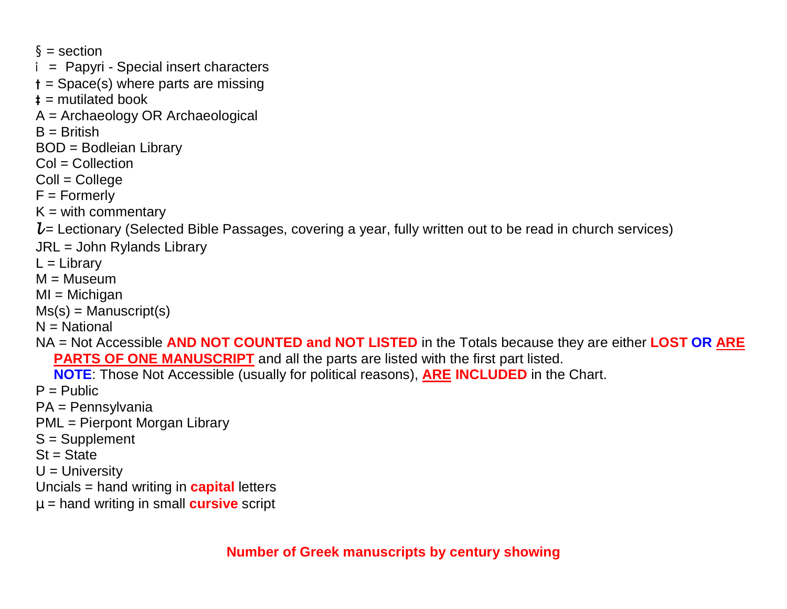$\S$  = section

- **î** = Papyri Special insert characters
- **†** = Space(s) where parts are missing
- **‡** = mutilated book
- A = Archaeology OR Archaeological
- $B =$  British
- BOD = Bodleian Library
- $Col = Collection$
- $Coll = College$
- F = Formerly
- $K =$  with commentary
- $l$  = Lectionary (Selected Bible Passages, covering a year, fully written out to be read in church services)
- JRL = John Rylands Library
- $L =$ Library
- $M =$ Museum
- $MI = Michigan$
- $Ms(s) =$ Manuscript $(s)$
- $N = National$
- NA = Not Accessible **AND NOT COUNTED and NOT LISTED** in the Totals because they are either **LOST OR ARE PARTS OF ONE MANUSCRIPT** and all the parts are listed with the first part listed.
	- **NOTE**: Those Not Accessible (usually for political reasons), **ARE INCLUDED** in the Chart.
- $P =$  Public
- PA = Pennsylvania
- PML = Pierpont Morgan Library
- S = Supplement
- $St = State$
- $U =$  University
- Uncials = hand writing in **capital** letters
- **m** = hand writing in small **cursive** script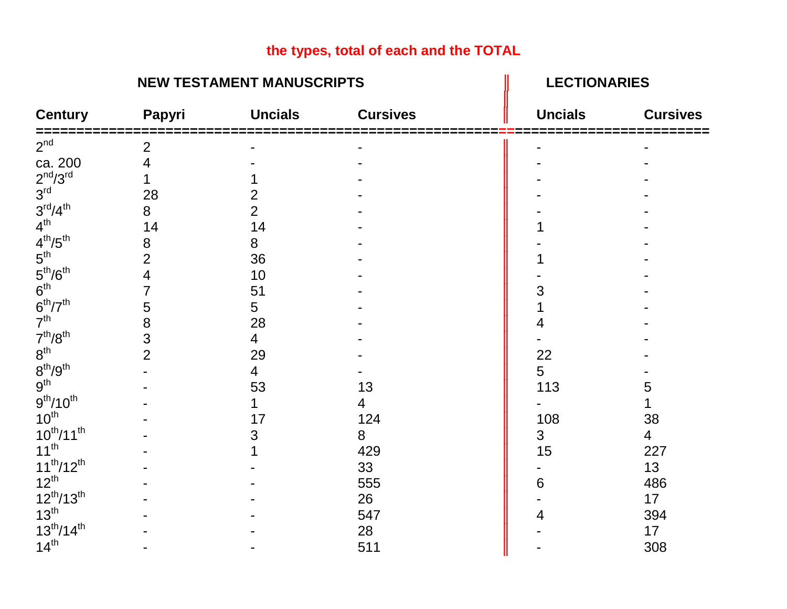# **the types, total of each and the TOTAL**

# **NEW TESTAMENT MANUSCRIPTS** Ⅱ DECTIONARIES

| <b>Century</b>                        | Papyri         | <b>Uncials</b> | <b>Cursives</b> | <b>Uncials</b> | <b>Cursives</b> |
|---------------------------------------|----------------|----------------|-----------------|----------------|-----------------|
| $2^{nd}$                              | $\overline{2}$ |                |                 |                |                 |
| ca. 200                               | 4              |                |                 |                |                 |
| $2nd/3rd$<br>$3rd$                    |                |                |                 |                |                 |
|                                       | 28             |                |                 |                |                 |
| $3^{\text{rd}}/4^{\text{th}}$         | 8              | $\overline{2}$ |                 |                |                 |
| $4^{\text{th}}$                       | 14             | 14             |                 |                |                 |
| $4^{th}/5^{th}$                       | 8              | 8              |                 |                |                 |
| $5^{\text{th}}$                       | $\overline{2}$ | 36             |                 |                |                 |
| 5 <sup>th</sup> /6 <sup>th</sup>      | 4              | 10             |                 |                |                 |
| 6 <sup>th</sup>                       |                | 51             |                 |                |                 |
| $6^{\text{th}}/7^{\text{th}}$         | 5              | 5              |                 |                |                 |
| 7 <sup>th</sup>                       | 8              | 28             |                 |                |                 |
| 7 <sup>th</sup> /8 <sup>th</sup>      | 3              | 4              |                 |                |                 |
| $8^{\rm th}$                          | $\overline{2}$ | 29             |                 | 22             |                 |
| $8^{th}/9^{th}$                       |                | 4              |                 | 5              |                 |
| $9^{th}$<br>$9^{th}/10^{th}$          |                | 53             | 13              | 113            | 5               |
|                                       |                |                | 4               |                |                 |
| $10^{th}$                             |                | 17             | 124             | 108            | 38              |
| $10^{th}/11^{th}$                     |                | 3              | 8               | $\mathfrak{S}$ | $\overline{4}$  |
| $11^{th}$                             |                |                | 429             | 15             | 227             |
| $11^{th}/12^{th}$                     |                |                | 33              |                | 13              |
| $12^{th}$                             |                |                | 555             | 6              | 486             |
|                                       |                |                | 26              |                | 17              |
| $12^{th}/13^{th}$<br>13 <sup>th</sup> |                |                | 547             |                | 394             |
| $13^{th}/14^{th}$                     |                |                | 28              |                | 17              |
| 14 <sup>th</sup>                      |                |                | 511             |                | 308             |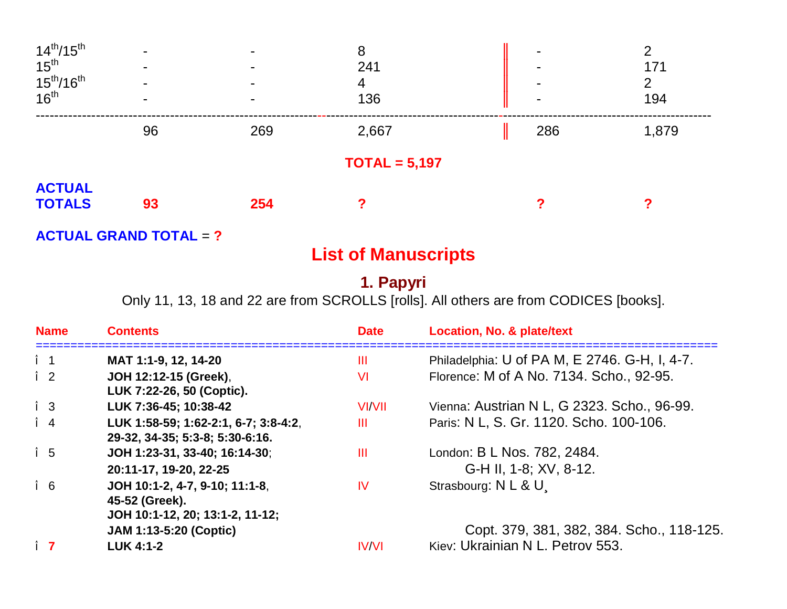| $14^{th}/15^{th}$                                                   | $\blacksquare$ |     | 8               | $\blacksquare$ | ⌒     |
|---------------------------------------------------------------------|----------------|-----|-----------------|----------------|-------|
| $15^{th}$<br>15 <sup>th</sup> /16 <sup>th</sup><br>16 <sup>th</sup> |                |     | 241             | $\blacksquare$ | 171   |
|                                                                     |                |     | 4               | $\blacksquare$ | 2     |
|                                                                     |                |     | 136             | $\blacksquare$ | 194   |
|                                                                     | 96             | 269 | 2,667           | 286            | 1,879 |
|                                                                     |                |     | $TOTAL = 5,197$ |                |       |
| <b>ACTUAL</b>                                                       |                |     |                 |                |       |
| <b>TOTALS</b>                                                       | 93             | 254 |                 |                |       |
|                                                                     |                |     |                 |                |       |

**ACTUAL GRAND TOTAL** = **?**

# **List of Manuscripts**

# **1. Papyri**

Only 11, 13, 18 and 22 are from SCROLLS [rolls]. All others are from CODICES [books].

| <b>Name</b> | <b>Contents</b>                                                                     | <b>Date</b>   | <b>Location, No. &amp; plate/text</b>                                         |
|-------------|-------------------------------------------------------------------------------------|---------------|-------------------------------------------------------------------------------|
| $\hat{I}$ 1 | MAT 1:1-9, 12, 14-20                                                                | Ш             | Philadelphia: U of PA M, E 2746. G-H, I, 4-7.                                 |
| $\hat{I}$ 2 | JOH 12:12-15 (Greek),<br>LUK 7:22-26, 50 (Coptic).                                  | VI            | Florence: M of A No. 7134. Scho., 92-95.                                      |
| $\hat{I}$ 3 | LUK 7:36-45; 10:38-42                                                               | <b>VI/VII</b> | Vienna: Austrian N L, G 2323. Scho., 96-99.                                   |
| $\hat{I}$ 4 | LUK 1:58-59; 1:62-2:1, 6-7; 3:8-4:2,<br>29-32, 34-35; 5:3-8; 5:30-6:16.             | Ш             | Paris: N L, S. Gr. 1120. Scho. 100-106.                                       |
| $\hat{1}$ 5 | JOH 1:23-31, 33-40; 16:14-30;<br>20:11-17, 19-20, 22-25                             | Ш             | London: B L Nos. 782, 2484.<br>G-H II, 1-8; XV, 8-12.                         |
| $\hat{I}$ 6 | JOH 10:1-2, 4-7, 9-10; 11:1-8,<br>45-52 (Greek).<br>JOH 10:1-12, 20; 13:1-2, 11-12; | IV            | Strasbourg: N L & U                                                           |
| $\hat{I}$ 7 | <b>JAM 1:13-5:20 (Coptic)</b><br><b>LUK 4:1-2</b>                                   | <b>IV/VI</b>  | Copt. 379, 381, 382, 384. Scho., 118-125.<br>Kiev: Ukrainian N L. Petrov 553. |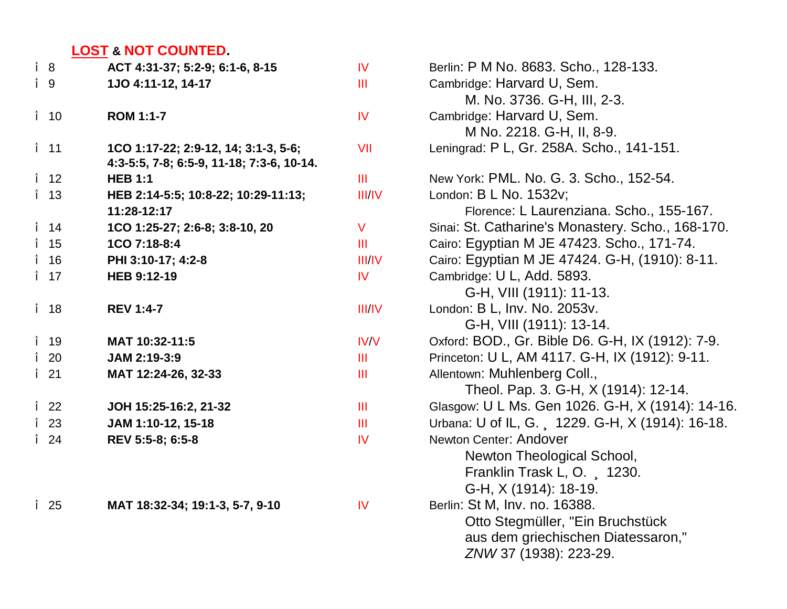# **LOST & NOT COUNTED.**

| ACT 4:31-37; 5:2-9; 6:1-6, 8-15                                                   | $\overline{N}$ | Berlin: P M No. 8683. Scho., 128-133.             |
|-----------------------------------------------------------------------------------|----------------|---------------------------------------------------|
| 1JO 4:11-12, 14-17                                                                | Ш              | Cambridge: Harvard U, Sem.                        |
|                                                                                   |                | M. No. 3736. G-H, III, 2-3.                       |
| <b>ROM 1:1-7</b>                                                                  | IV             | Cambridge: Harvard U, Sem.                        |
|                                                                                   |                | M No. 2218. G-H, II, 8-9.                         |
| 1CO 1:17-22; 2:9-12, 14; 3:1-3, 5-6;<br>4:3-5:5, 7-8; 6:5-9, 11-18; 7:3-6, 10-14. | VII            | Leningrad: P L, Gr. 258A. Scho., 141-151.         |
| <b>HEB 1:1</b>                                                                    | III            | New York: PML. No. G. 3. Scho., 152-54.           |
| HEB 2:14-5:5; 10:8-22; 10:29-11:13;                                               | III/IV         | London: B L No. 1532v;                            |
| 11:28-12:17                                                                       |                | Florence: L Laurenziana. Scho., 155-167.          |
| 1CO 1:25-27; 2:6-8; 3:8-10, 20                                                    | V.             | Sinai: St. Catharine's Monastery. Scho., 168-170. |
| 1CO 7:18-8:4                                                                      | III            | Cairo: Egyptian M JE 47423. Scho., 171-74.        |
| PHI 3:10-17; 4:2-8                                                                | III/IV         | Cairo: Egyptian M JE 47424. G-H, (1910): 8-11.    |
| <b>HEB 9:12-19</b>                                                                | <b>IV</b>      | Cambridge: U L, Add. 5893.                        |
|                                                                                   |                | G-H, VIII (1911): 11-13.                          |
| <b>REV 1:4-7</b>                                                                  | III/IV         | London: B L, Inv. No. 2053v.                      |
|                                                                                   |                | G-H, VIII (1911): 13-14.                          |
| MAT 10:32-11:5                                                                    | <b>IV/V</b>    | Oxford: BOD., Gr. Bible D6. G-H, IX (1912): 7-9.  |
| JAM 2:19-3:9                                                                      | Ш              | Princeton: U L, AM 4117. G-H, IX (1912): 9-11.    |
| MAT 12:24-26, 32-33                                                               | ШL             | Allentown: Muhlenberg Coll.,                      |
|                                                                                   |                | Theol. Pap. 3. G-H, X (1914): 12-14.              |
| JOH 15:25-16:2, 21-32                                                             | ШL             | Glasgow: U L Ms. Gen 1026. G-H, X (1914): 14-16.  |
| JAM 1:10-12, 15-18                                                                | Ш              | Urbana: U of IL, G., 1229. G-H, X (1914): 16-18.  |
| REV 5:5-8; 6:5-8                                                                  | IV             | Newton Center: Andover                            |
|                                                                                   |                | Newton Theological School,                        |
|                                                                                   |                | Franklin Trask L, O., 1230.                       |
|                                                                                   |                | G-H, X (1914): 18-19.                             |
| MAT 18:32-34; 19:1-3, 5-7, 9-10                                                   | IV             | Berlin: St M, Inv. no. 16388.                     |
|                                                                                   |                | Otto Stegmüller, "Ein Bruchstück"                 |
|                                                                                   |                | aus dem griechischen Diatessaron,"                |
|                                                                                   |                | ZNW 37 (1938): 223-29.                            |
|                                                                                   |                |                                                   |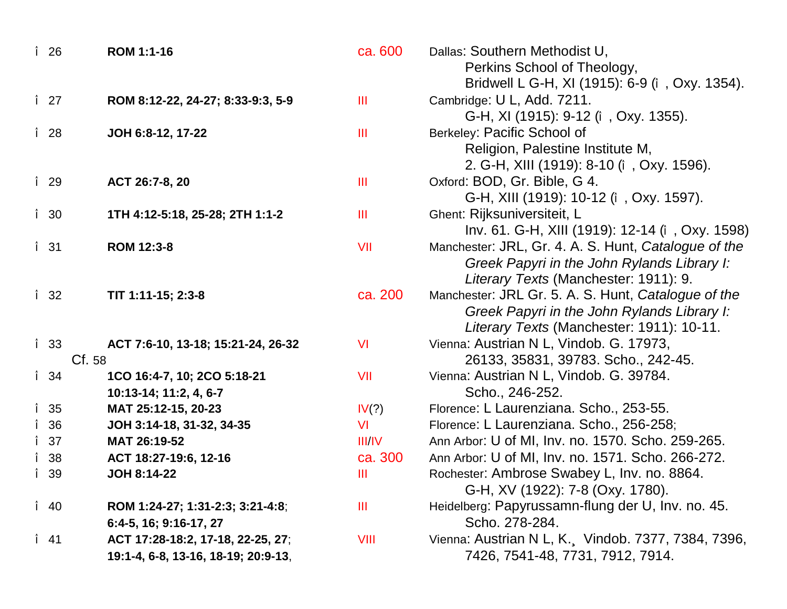| î 26         | ROM 1:1-16                          | ca. 600       | Dallas: Southern Methodist U,                        |
|--------------|-------------------------------------|---------------|------------------------------------------------------|
|              |                                     |               | Perkins School of Theology,                          |
|              |                                     |               | Bridwell L G-H, XI (1915): 6-9 (î, Oxy. 1354).       |
| $\hat{I}$ 27 | ROM 8:12-22, 24-27; 8:33-9:3, 5-9   | Ш             | Cambridge: U L, Add. 7211.                           |
|              |                                     |               | G-H, XI (1915): 9-12 (î, Oxy. 1355).                 |
| î 28         | JOH 6:8-12, 17-22                   | Ш             | Berkeley: Pacific School of                          |
|              |                                     |               | Religion, Palestine Institute M,                     |
|              |                                     |               | 2. G-H, XIII (1919): 8-10 (î, Oxy. 1596).            |
| î 29         | ACT 26:7-8, 20                      | Ш             | Oxford: BOD, Gr. Bible, G 4.                         |
|              |                                     |               | G-H, XIII (1919): 10-12 (î, Oxy. 1597).              |
| î 30         | 1TH 4:12-5:18, 25-28; 2TH 1:1-2     | Ш             | Ghent: Rijksuniversiteit, L                          |
|              |                                     |               | Inv. 61. G-H, XIII (1919): 12-14 (î, Oxy. 1598)      |
| î 31         | ROM 12:3-8                          | VII           | Manchester: JRL, Gr. 4. A. S. Hunt, Catalogue of the |
|              |                                     |               | Greek Papyri in the John Rylands Library I:          |
|              |                                     |               | Literary Texts (Manchester: 1911): 9.                |
| î 32         | TIT 1:11-15; 2:3-8                  | ca. 200       | Manchester: JRL Gr. 5. A. S. Hunt, Catalogue of the  |
|              |                                     |               | Greek Papyri in the John Rylands Library I:          |
|              |                                     |               | Literary Texts (Manchester: 1911): 10-11.            |
| <i>î</i> 33  | ACT 7:6-10, 13-18; 15:21-24, 26-32  | VI            | Vienna: Austrian N L, Vindob. G. 17973,              |
|              | Cf.58                               |               | 26133, 35831, 39783. Scho., 242-45.                  |
| î 34         | 1CO 16:4-7, 10; 2CO 5:18-21         | VII           | Vienna: Austrian N L, Vindob. G. 39784.              |
|              | 10:13-14; 11:2, 4, 6-7              |               | Scho., 246-252.                                      |
| î 35         | MAT 25:12-15, 20-23                 | IV(?)         | Florence: L Laurenziana. Scho., 253-55.              |
| î 36         | JOH 3:14-18, 31-32, 34-35           | VI            | Florence: L Laurenziana. Scho., 256-258;             |
| $\hat{I}$ 37 | MAT 26:19-52                        | <b>III/IV</b> | Ann Arbor: U of MI, Inv. no. 1570. Scho. 259-265.    |
| î 38         | ACT 18:27-19:6, 12-16               | ca. 300       | Ann Arbor: U of MI, Inv. no. 1571. Scho. 266-272.    |
| î 39         | <b>JOH 8:14-22</b>                  | Ш             | Rochester: Ambrose Swabey L, Inv. no. 8864.          |
|              |                                     |               | G-H, XV (1922): 7-8 (Oxy. 1780).                     |
| $\hat{I}$ 40 | ROM 1:24-27; 1:31-2:3; 3:21-4:8;    | Ш             | Heidelberg: Papyrussamn-flung der U, Inv. no. 45.    |
|              | 6:4-5, 16; 9:16-17, 27              |               | Scho. 278-284.                                       |
| $\hat{I}$ 41 | ACT 17:28-18:2, 17-18, 22-25, 27;   | VIII          | Vienna: Austrian N L, K., Vindob. 7377, 7384, 7396,  |
|              | 19:1-4, 6-8, 13-16, 18-19; 20:9-13, |               | 7426, 7541-48, 7731, 7912, 7914.                     |
|              |                                     |               |                                                      |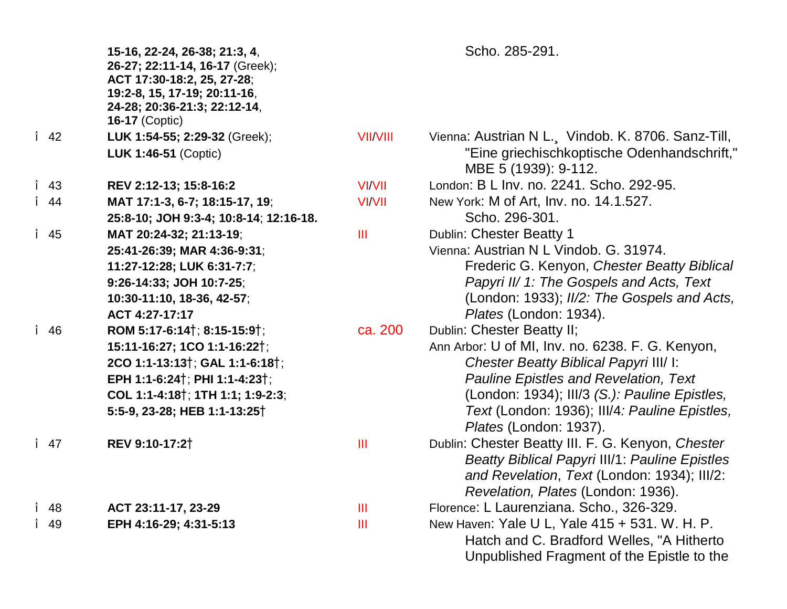|              | 15-16, 22-24, 26-38; 21:3, 4,<br>26-27; 22:11-14, 16-17 (Greek);<br>ACT 17:30-18:2, 25, 27-28;<br>19:2-8, 15, 17-19; 20:11-16,<br>24-28; 20:36-21:3; 22:12-14,<br><b>16-17 (Coptic)</b> |                 | Scho. 285-291.                                                          |
|--------------|-----------------------------------------------------------------------------------------------------------------------------------------------------------------------------------------|-----------------|-------------------------------------------------------------------------|
| $\hat{I}$ 42 | LUK 1:54-55; 2:29-32 (Greek);                                                                                                                                                           | <b>VII/VIII</b> | Vienna: Austrian N L., Vindob. K. 8706. Sanz-Till,                      |
|              | LUK 1:46-51 (Coptic)                                                                                                                                                                    |                 | "Eine griechischkoptische Odenhandschrift,"<br>MBE 5 (1939): 9-112.     |
| $\hat{I}$ 43 | REV 2:12-13; 15:8-16:2                                                                                                                                                                  | <b>VI/VII</b>   | London: B L Inv. no. 2241. Scho. 292-95.                                |
| $\hat{I}$ 44 | MAT 17:1-3, 6-7; 18:15-17, 19;                                                                                                                                                          | <b>VI/VII</b>   | New York: M of Art, Inv. no. 14.1.527.                                  |
|              | 25:8-10; JOH 9:3-4; 10:8-14; 12:16-18.                                                                                                                                                  |                 | Scho. 296-301.                                                          |
| $\hat{I}$ 45 | MAT 20:24-32; 21:13-19;                                                                                                                                                                 | III             | Dublin: Chester Beatty 1                                                |
|              | 25:41-26:39; MAR 4:36-9:31;                                                                                                                                                             |                 | Vienna: Austrian N L Vindob. G. 31974.                                  |
|              | 11:27-12:28; LUK 6:31-7:7;                                                                                                                                                              |                 | Frederic G. Kenyon, Chester Beatty Biblical                             |
|              | 9:26-14:33; JOH 10:7-25;                                                                                                                                                                |                 | Papyri II/ 1: The Gospels and Acts, Text                                |
|              | 10:30-11:10, 18-36, 42-57;                                                                                                                                                              |                 | (London: 1933); II/2: The Gospels and Acts,                             |
|              | ACT 4:27-17:17                                                                                                                                                                          |                 | Plates (London: 1934).                                                  |
| î 46         | ROM 5:17-6:14 <sup>†</sup> ; 8:15-15:9 <sup>†</sup> ;                                                                                                                                   | ca. 200         | Dublin: Chester Beatty II;                                              |
|              | 15:11-16:27; 1CO 1:1-16:22†;                                                                                                                                                            |                 | Ann Arbor: U of MI, Inv. no. 6238. F. G. Kenyon,                        |
|              | 2CO 1:1-13:13 <sup>†</sup> ; GAL 1:1-6:18 <sup>†</sup> ;                                                                                                                                |                 | Chester Beatty Biblical Papyri III/ I:                                  |
|              | EPH 1:1-6:24 <sup>†</sup> ; PHI 1:1-4:23 <sup>†</sup> ;                                                                                                                                 |                 | <b>Pauline Epistles and Revelation, Text</b>                            |
|              | COL 1:1-4:18 <sup>†</sup> ; 1TH 1:1; 1:9-2:3;                                                                                                                                           |                 | (London: 1934); III/3 (S.): Pauline Epistles,                           |
|              | 5:5-9, 23-28; HEB 1:1-13:25 <sup>†</sup>                                                                                                                                                |                 | Text (London: 1936); III/4: Pauline Epistles,<br>Plates (London: 1937). |
| $\hat{I}$ 47 | REV 9:10-17:21                                                                                                                                                                          | Ш               | Dublin: Chester Beatty III. F. G. Kenyon, Chester                       |
|              |                                                                                                                                                                                         |                 | <b>Beatty Biblical Papyri III/1: Pauline Epistles</b>                   |
|              |                                                                                                                                                                                         |                 | and Revelation, Text (London: 1934); III/2:                             |
|              |                                                                                                                                                                                         |                 | Revelation, Plates (London: 1936).                                      |
| î 48         | ACT 23:11-17, 23-29                                                                                                                                                                     | ШL              | Florence: L Laurenziana. Scho., 326-329.                                |
| î 49         | EPH 4:16-29; 4:31-5:13                                                                                                                                                                  | Ш               | New Haven: Yale U L, Yale 415 + 531. W. H. P.                           |
|              |                                                                                                                                                                                         |                 | Hatch and C. Bradford Welles, "A Hitherto                               |
|              |                                                                                                                                                                                         |                 | Unpublished Fragment of the Epistle to the                              |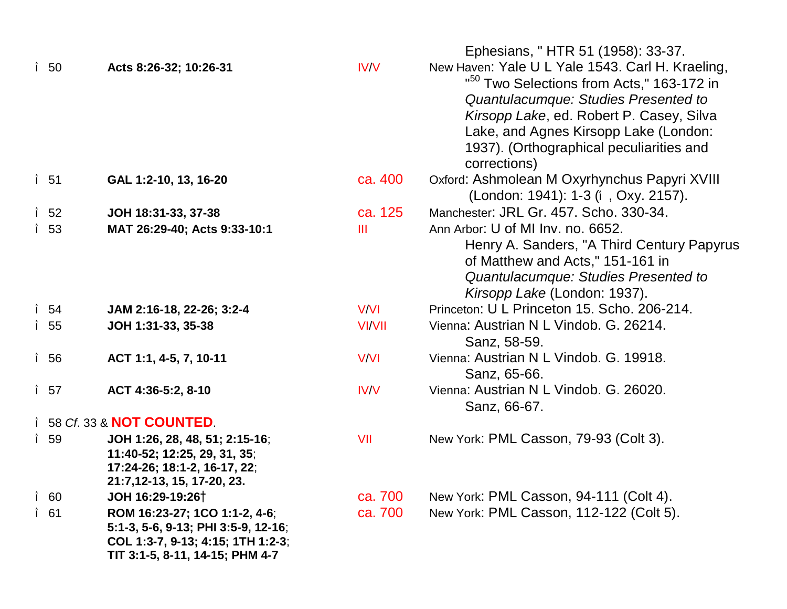|   |              |                                                                                                                                              |               | Ephesians, "HTR 51 (1958): 33-37.                                                                                                                                                                                                                                                                  |
|---|--------------|----------------------------------------------------------------------------------------------------------------------------------------------|---------------|----------------------------------------------------------------------------------------------------------------------------------------------------------------------------------------------------------------------------------------------------------------------------------------------------|
|   | $\hat{I}$ 50 | Acts 8:26-32; 10:26-31                                                                                                                       | IV/V          | New Haven: Yale U L Yale 1543. Carl H. Kraeling,<br>" <sup>50</sup> Two Selections from Acts," 163-172 in<br>Quantulacumque: Studies Presented to<br>Kirsopp Lake, ed. Robert P. Casey, Silva<br>Lake, and Agnes Kirsopp Lake (London:<br>1937). (Orthographical peculiarities and<br>corrections) |
|   | î 51         | GAL 1:2-10, 13, 16-20                                                                                                                        | ca. 400       | Oxford: Ashmolean M Oxyrhynchus Papyri XVIII<br>(London: 1941): 1-3 (î, Oxy. 2157).                                                                                                                                                                                                                |
|   | $\hat{I}$ 52 | JOH 18:31-33, 37-38                                                                                                                          | ca. 125       | Manchester: JRL Gr. 457. Scho. 330-34.                                                                                                                                                                                                                                                             |
|   | î 53         | MAT 26:29-40; Acts 9:33-10:1                                                                                                                 | III           | Ann Arbor: U of MI Inv. no. 6652.<br>Henry A. Sanders, "A Third Century Papyrus<br>of Matthew and Acts," 151-161 in<br>Quantulacumque: Studies Presented to<br>Kirsopp Lake (London: 1937).                                                                                                        |
|   | $\hat{I}$ 54 | JAM 2:16-18, 22-26; 3:2-4                                                                                                                    | V/VI          | Princeton: U L Princeton 15, Scho, 206-214.                                                                                                                                                                                                                                                        |
|   | î 55         | JOH 1:31-33, 35-38                                                                                                                           | <b>VI/VII</b> | Vienna: Austrian N L Vindob. G. 26214.<br>Sanz, 58-59.                                                                                                                                                                                                                                             |
|   | î 56         | ACT 1:1, 4-5, 7, 10-11                                                                                                                       | V/VI          | Vienna: Austrian N L Vindob. G. 19918.<br>Sanz, 65-66.                                                                                                                                                                                                                                             |
|   | $\hat{I}$ 57 | ACT 4:36-5:2, 8-10                                                                                                                           | IV/V          | Vienna: Austrian N L Vindob. G. 26020.<br>Sanz, 66-67.                                                                                                                                                                                                                                             |
|   |              | î 58 Cf. 33 & NOT COUNTED.                                                                                                                   |               |                                                                                                                                                                                                                                                                                                    |
|   | î 59         | JOH 1:26, 28, 48, 51; 2:15-16;<br>11:40-52; 12:25, 29, 31, 35;<br>17:24-26; 18:1-2, 16-17, 22;<br>21:7,12-13, 15, 17-20, 23.                 | VII           | New York: PML Casson, 79-93 (Colt 3).                                                                                                                                                                                                                                                              |
| Î | 60           | JOH 16:29-19:26 <sup>†</sup>                                                                                                                 | ca. 700       | New York: PML Casson, 94-111 (Colt 4).                                                                                                                                                                                                                                                             |
|   | î 61         | ROM 16:23-27; 1CO 1:1-2, 4-6;<br>5:1-3, 5-6, 9-13; PHI 3:5-9, 12-16;<br>COL 1:3-7, 9-13; 4:15; 1TH 1:2-3;<br>TIT 3:1-5, 8-11, 14-15; PHM 4-7 | ca. 700       | New York: PML Casson, 112-122 (Colt 5).                                                                                                                                                                                                                                                            |
|   |              |                                                                                                                                              |               |                                                                                                                                                                                                                                                                                                    |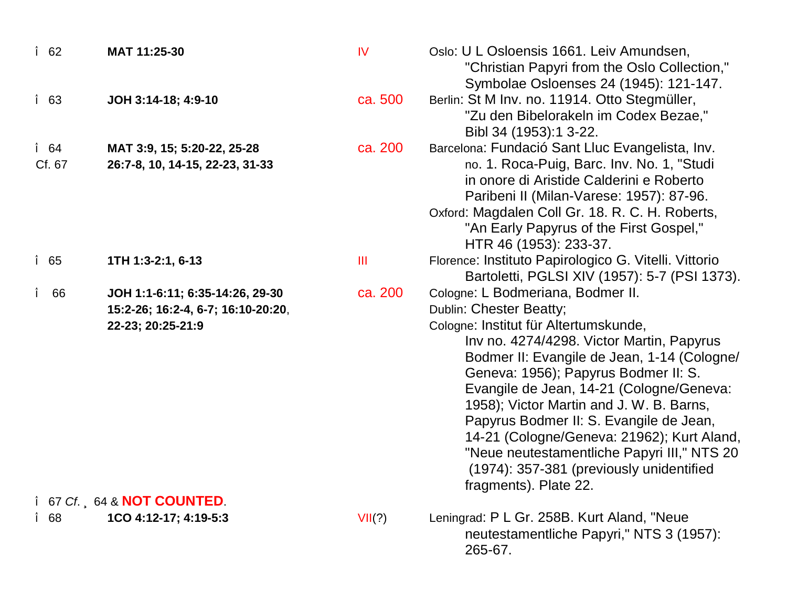| î 62   | MAT 11:25-30                       | IV      | Oslo: U L Osloensis 1661. Leiv Amundsen,                                                          |
|--------|------------------------------------|---------|---------------------------------------------------------------------------------------------------|
|        |                                    |         | "Christian Papyri from the Oslo Collection,"<br>Symbolae Osloenses 24 (1945): 121-147.            |
| î 63   | JOH 3:14-18; 4:9-10                | ca. 500 | Berlin: St M Inv. no. 11914. Otto Stegmüller,                                                     |
|        |                                    |         | "Zu den Bibelorakeln im Codex Bezae,"                                                             |
|        |                                    |         | Bibl 34 (1953):1 3-22.                                                                            |
| î 64   | MAT 3:9, 15; 5:20-22, 25-28        | ca. 200 | Barcelona: Fundació Sant Lluc Evangelista, Inv.                                                   |
| Cf. 67 | 26:7-8, 10, 14-15, 22-23, 31-33    |         | no. 1. Roca-Puig, Barc. Inv. No. 1, "Studi                                                        |
|        |                                    |         | in onore di Aristide Calderini e Roberto                                                          |
|        |                                    |         | Paribeni II (Milan-Varese: 1957): 87-96.                                                          |
|        |                                    |         | Oxford: Magdalen Coll Gr. 18. R. C. H. Roberts,                                                   |
|        |                                    |         | "An Early Papyrus of the First Gospel,"<br>HTR 46 (1953): 233-37.                                 |
| î 65   | 1TH 1:3-2:1, 6-13                  | Ш       | Florence: Instituto Papirologico G. Vitelli. Vittorio                                             |
|        |                                    |         | Bartoletti, PGLSI XIV (1957): 5-7 (PSI 1373).                                                     |
| î 66   | JOH 1:1-6:11; 6:35-14:26, 29-30    | ca. 200 | Cologne: L Bodmeriana, Bodmer II.                                                                 |
|        | 15:2-26; 16:2-4, 6-7; 16:10-20:20, |         | <b>Dublin: Chester Beatty;</b>                                                                    |
|        | 22-23; 20:25-21:9                  |         | Cologne: Institut für Altertumskunde,                                                             |
|        |                                    |         | Inv no. 4274/4298. Victor Martin, Papyrus                                                         |
|        |                                    |         | Bodmer II: Evangile de Jean, 1-14 (Cologne/                                                       |
|        |                                    |         | Geneva: 1956); Papyrus Bodmer II: S.                                                              |
|        |                                    |         | Evangile de Jean, 14-21 (Cologne/Geneva:<br>1958); Victor Martin and J. W. B. Barns,              |
|        |                                    |         | Papyrus Bodmer II: S. Evangile de Jean,                                                           |
|        |                                    |         | 14-21 (Cologne/Geneva: 21962); Kurt Aland,                                                        |
|        |                                    |         | "Neue neutestamentliche Papyri III," NTS 20                                                       |
|        |                                    |         | (1974): 357-381 (previously unidentified                                                          |
|        |                                    |         | fragments). Plate 22.                                                                             |
|        | î 67 Cf 64 & NOT COUNTED           |         |                                                                                                   |
| î 68   | 1CO 4:12-17; 4:19-5:3              | VII(?)  | Leningrad: P L Gr. 258B. Kurt Aland, "Neue<br>neutestamentliche Papyri," NTS 3 (1957):<br>265-67. |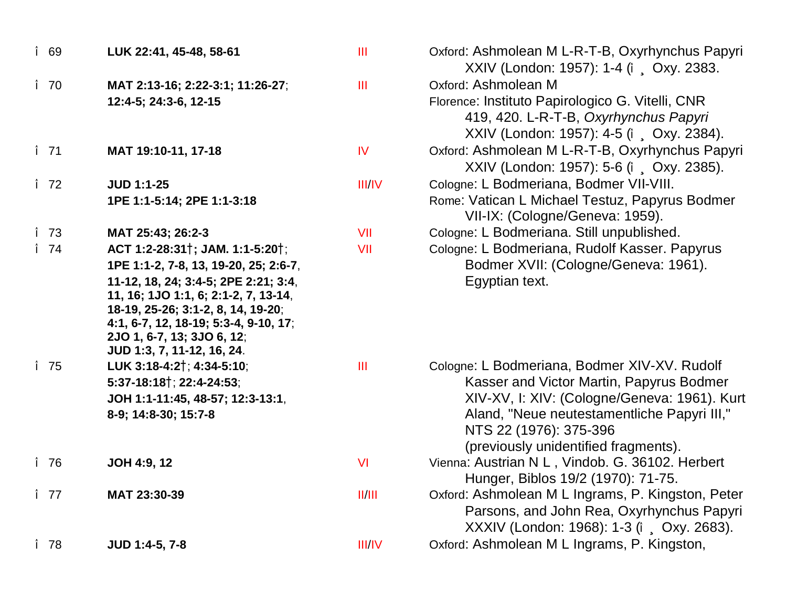| î 69         | LUK 22:41, 45-48, 58-61                                                                                                                                                                                                 | $\mathbf{III}$ | Oxford: Ashmolean M L-R-T-B, Oxyrhynchus Papyri<br>XXIV (London: 1957): 1-4 (î, Oxy. 2383.                                                                    |
|--------------|-------------------------------------------------------------------------------------------------------------------------------------------------------------------------------------------------------------------------|----------------|---------------------------------------------------------------------------------------------------------------------------------------------------------------|
| $\hat{I}$ 70 | MAT 2:13-16; 2:22-3:1; 11:26-27;                                                                                                                                                                                        | III            | Oxford: Ashmolean M                                                                                                                                           |
|              | 12:4-5; 24:3-6, 12-15                                                                                                                                                                                                   |                | Florence: Instituto Papirologico G. Vitelli, CNR<br>419, 420. L-R-T-B, Oxyrhynchus Papyri<br>XXIV (London: 1957): 4-5 (î , Oxy. 2384).                        |
| $\hat{I}$ 71 | MAT 19:10-11, 17-18                                                                                                                                                                                                     | <b>IV</b>      | Oxford: Ashmolean M L-R-T-B, Oxyrhynchus Papyri<br>XXIV (London: 1957): 5-6 (î Oxy. 2385).                                                                    |
| $\hat{I}$ 72 | <b>JUD 1:1-25</b>                                                                                                                                                                                                       | <b>III/IV</b>  | Cologne: L Bodmeriana, Bodmer VII-VIII.                                                                                                                       |
|              | 1PE 1:1-5:14; 2PE 1:1-3:18                                                                                                                                                                                              |                | Rome: Vatican L Michael Testuz, Papyrus Bodmer<br>VII-IX: (Cologne/Geneva: 1959).                                                                             |
| î 73         | MAT 25:43; 26:2-3                                                                                                                                                                                                       | VII            | Cologne: L Bodmeriana. Still unpublished.                                                                                                                     |
| $\hat{I}$ 74 | ACT 1:2-28:31 <sup>†</sup> ; JAM. 1:1-5:20 <sup>†</sup> ;                                                                                                                                                               | VII            | Cologne: L Bodmeriana, Rudolf Kasser. Papyrus                                                                                                                 |
|              | 1PE 1:1-2, 7-8, 13, 19-20, 25; 2:6-7,                                                                                                                                                                                   |                | Bodmer XVII: (Cologne/Geneva: 1961).                                                                                                                          |
|              | 11-12, 18, 24; 3:4-5; 2PE 2:21; 3:4,<br>11, 16; 1JO 1:1, 6; 2:1-2, 7, 13-14,<br>18-19, 25-26; 3:1-2, 8, 14, 19-20;<br>4:1, 6-7, 12, 18-19; 5:3-4, 9-10, 17;<br>2JO 1, 6-7, 13; 3JO 6, 12;<br>JUD 1:3, 7, 11-12, 16, 24. |                | Egyptian text.                                                                                                                                                |
| î 75         | LUK 3:18-4:2 <sup>†</sup> ; 4:34-5:10;                                                                                                                                                                                  | $\mathbf{III}$ | Cologne: L Bodmeriana, Bodmer XIV-XV. Rudolf                                                                                                                  |
|              | 5:37-18:18 <sup>†</sup> ; 22:4-24:53;                                                                                                                                                                                   |                | Kasser and Victor Martin, Papyrus Bodmer                                                                                                                      |
|              | JOH 1:1-11:45, 48-57; 12:3-13:1,<br>8-9; 14:8-30; 15:7-8                                                                                                                                                                |                | XIV-XV, I: XIV: (Cologne/Geneva: 1961). Kurt<br>Aland, "Neue neutestamentliche Papyri III,"<br>NTS 22 (1976): 375-396<br>(previously unidentified fragments). |
| î 76         | JOH 4:9, 12                                                                                                                                                                                                             | <b>VI</b>      | Vienna: Austrian N L, Vindob. G. 36102. Herbert<br>Hunger, Biblos 19/2 (1970): 71-75.                                                                         |
| $\hat{I}$ 77 | MAT 23:30-39                                                                                                                                                                                                            | II/III         | Oxford: Ashmolean M L Ingrams, P. Kingston, Peter<br>Parsons, and John Rea, Oxyrhynchus Papyri<br>XXXIV (London: 1968): 1-3 (î, Oxy. 2683).                   |
| î 78         | JUD 1:4-5, 7-8                                                                                                                                                                                                          | <b>III/IV</b>  | Oxford: Ashmolean M L Ingrams, P. Kingston,                                                                                                                   |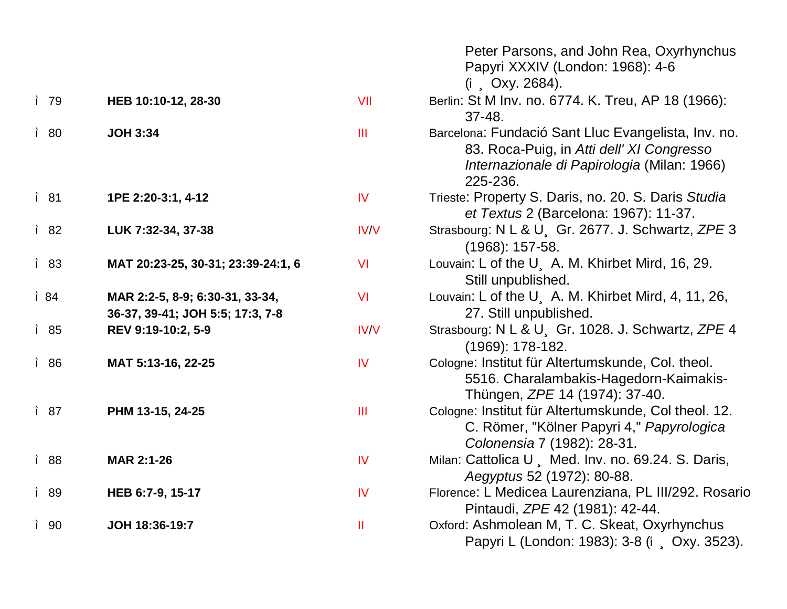|      |                                                                     |             | Peter Parsons, and John Rea, Oxyrhynchus<br>Papyri XXXIV (London: 1968): 4-6<br>$(i$ , Oxy. 2684).                                                          |
|------|---------------------------------------------------------------------|-------------|-------------------------------------------------------------------------------------------------------------------------------------------------------------|
| î 79 | HEB 10:10-12, 28-30                                                 | VII         | Berlin: St M Inv. no. 6774. K. Treu, AP 18 (1966):<br>$37 - 48.$                                                                                            |
| î 80 | <b>JOH 3:34</b>                                                     | III         | Barcelona: Fundació Sant Lluc Evangelista, Inv. no.<br>83. Roca-Puig, in Atti dell' XI Congresso<br>Internazionale di Papirologia (Milan: 1966)<br>225-236. |
| î 81 | 1PE 2:20-3:1, 4-12                                                  | IV          | Trieste: Property S. Daris, no. 20. S. Daris Studia<br>et Textus 2 (Barcelona: 1967): 11-37.                                                                |
| î 82 | LUK 7:32-34, 37-38                                                  | <b>IV/V</b> | Strasbourg: N L & U, Gr. 2677. J. Schwartz, ZPE 3<br>$(1968): 157-58.$                                                                                      |
| î 83 | MAT 20:23-25, 30-31; 23:39-24:1, 6                                  | VI          | Louvain: L of the U, A. M. Khirbet Mird, 16, 29.<br>Still unpublished.                                                                                      |
| î 84 | MAR 2:2-5, 8-9; 6:30-31, 33-34,<br>36-37, 39-41; JOH 5:5; 17:3, 7-8 | VI          | Louvain: L of the U, A. M. Khirbet Mird, 4, 11, 26,<br>27. Still unpublished.                                                                               |
| î 85 | REV 9:19-10:2, 5-9                                                  | <b>IV/V</b> | Strasbourg: N L & U Gr. 1028. J. Schwartz, ZPE 4<br>$(1969): 178-182.$                                                                                      |
| î 86 | MAT 5:13-16, 22-25                                                  | IV          | Cologne: Institut für Altertumskunde, Col. theol.<br>5516. Charalambakis-Hagedorn-Kaimakis-<br>Thüngen, <i>ZPE</i> 14 (1974): 37-40.                        |
| î 87 | PHM 13-15, 24-25                                                    | Ш           | Cologne: Institut für Altertumskunde, Col theol. 12.<br>C. Römer, "Kölner Papyri 4," Papyrologica<br>Colonensia 7 (1982): 28-31.                            |
| î 88 | <b>MAR 2:1-26</b>                                                   | IV          | Milan: Cattolica U, Med. Inv. no. 69.24. S. Daris,<br>Aegyptus 52 (1972): 80-88.                                                                            |
| î 89 | HEB 6:7-9, 15-17                                                    | IV          | Florence: L Medicea Laurenziana, PL III/292. Rosario<br>Pintaudi, ZPE 42 (1981): 42-44.                                                                     |
| î 90 | JOH 18:36-19:7                                                      | Ш           | Oxford: Ashmolean M, T. C. Skeat, Oxyrhynchus<br>Papyri L (London: 1983): 3-8 (î. Oxy. 3523).                                                               |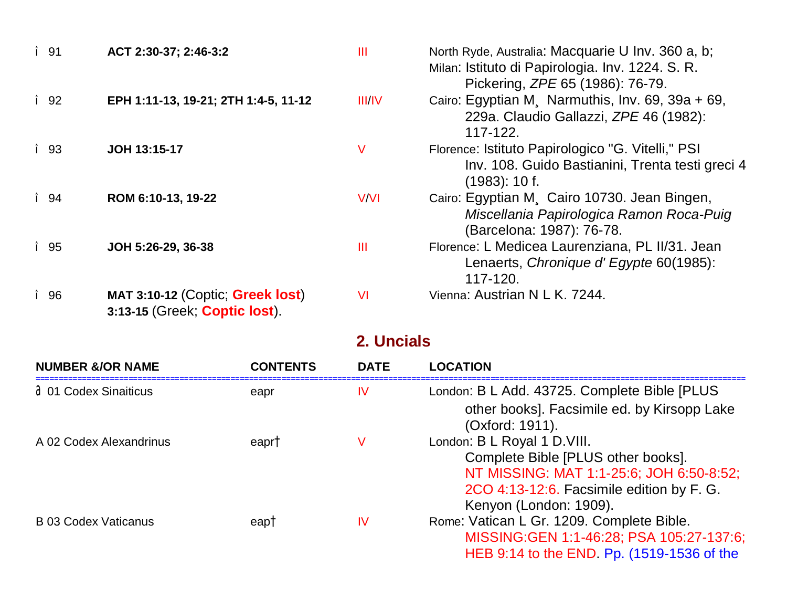| î 91 | ACT 2:30-37; 2:46-3:2                                             | $\mathbf{III}$ | North Ryde, Australia: Macquarie U Inv. 360 a, b;<br>Milan: Istituto di Papirologia. Inv. 1224. S. R.<br>Pickering, <i>ZPE</i> 65 (1986): 76-79. |
|------|-------------------------------------------------------------------|----------------|--------------------------------------------------------------------------------------------------------------------------------------------------|
| î 92 | EPH 1:11-13, 19-21; 2TH 1:4-5, 11-12                              | III/IV         | Cairo: Egyptian M, Narmuthis, Inv. 69, 39a + 69,<br>229a. Claudio Gallazzi, ZPE 46 (1982):<br>117-122.                                           |
| î 93 | JOH 13:15-17                                                      | V              | Florence: Istituto Papirologico "G. Vitelli," PSI<br>Inv. 108. Guido Bastianini, Trenta testi greci 4<br>(1983): 10f.                            |
| î 94 | ROM 6:10-13, 19-22                                                | V/VI           | Cairo: Egyptian M. Cairo 10730. Jean Bingen,<br>Miscellania Papirologica Ramon Roca-Puig<br>(Barcelona: 1987): 76-78.                            |
| î 95 | JOH 5:26-29, 36-38                                                | Ш              | Florence: L Medicea Laurenziana, PL II/31. Jean<br>Lenaerts, Chronique d'Egypte 60(1985):<br>117-120.                                            |
| î 96 | MAT 3:10-12 (Coptic; Greek lost)<br>3:13-15 (Greek; Coptic lost). | <b>VI</b>      | Vienna: Austrian N L K. 7244.                                                                                                                    |

# 2. Uncials

| <b>NUMBER &amp;/OR NAME</b> | <b>CONTENTS</b> | <b>DATE</b> | <b>LOCATION</b>                               |
|-----------------------------|-----------------|-------------|-----------------------------------------------|
| <b>201 Codex Sinaiticus</b> | eapr            | IV          | London: B L Add. 43725. Complete Bible [PLUS] |
|                             |                 |             | other books]. Facsimile ed. by Kirsopp Lake   |
|                             |                 |             | (Oxford: 1911).                               |
| A 02 Codex Alexandrinus     | eapr†           | V           | London: B L Royal 1 D. VIII.                  |
|                             |                 |             | Complete Bible [PLUS other books].            |
|                             |                 |             | NT MISSING: MAT 1:1-25:6; JOH 6:50-8:52;      |
|                             |                 |             | 2CO 4:13-12:6. Facsimile edition by F. G.     |
|                             |                 |             | Kenyon (London: 1909).                        |
| <b>B</b> 03 Codex Vaticanus | eap†            | IV          | Rome: Vatican L Gr. 1209. Complete Bible.     |
|                             |                 |             | MISSING: GEN 1:1-46:28; PSA 105:27-137:6;     |
|                             |                 |             | HEB 9:14 to the END Pp. (1519-1536 of the     |
|                             |                 |             |                                               |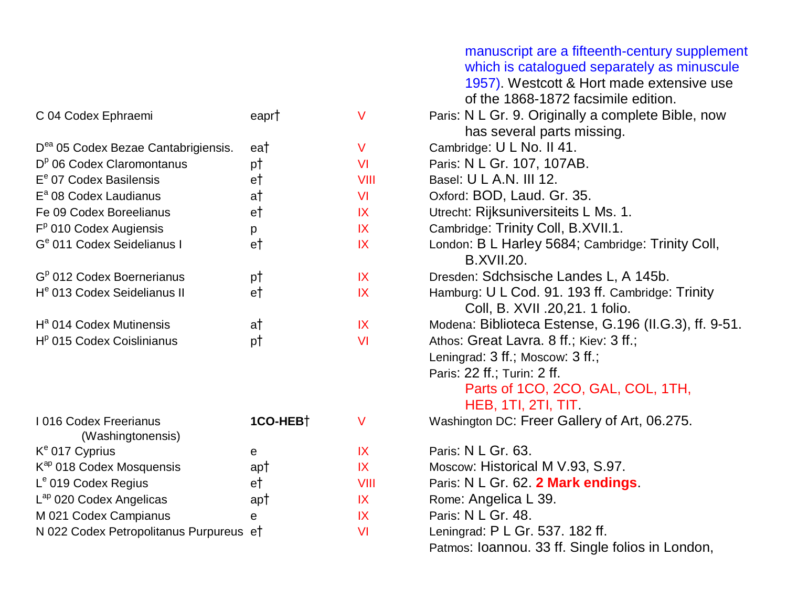|                                                 |                      |           | manuscript are a fifteenth-century supplement<br>which is catalogued separately as minuscule<br>1957). Westcott & Hort made extensive use<br>of the 1868-1872 facsimile edition. |
|-------------------------------------------------|----------------------|-----------|----------------------------------------------------------------------------------------------------------------------------------------------------------------------------------|
| C 04 Codex Ephraemi                             | eapr†                | $\vee$    | Paris: N L Gr. 9. Originally a complete Bible, now<br>has several parts missing.                                                                                                 |
| D <sup>ea</sup> 05 Codex Bezae Cantabrigiensis. | ea†                  | $\vee$    | Cambridge: U L No. II 41.                                                                                                                                                        |
| $Dp$ 06 Codex Claromontanus                     | pt                   | <b>VI</b> | Paris: N L Gr. 107, 107AB.                                                                                                                                                       |
| E <sup>e</sup> 07 Codex Basilensis              | e†                   | VIII      | Basel: U L A.N. III 12.                                                                                                                                                          |
| $E^a$ 08 Codex Laudianus                        | a†                   | <b>VI</b> | Oxford: BOD, Laud. Gr. 35.                                                                                                                                                       |
| Fe 09 Codex Boreelianus                         | e†                   | IX        | Utrecht: Rijksuniversiteits L Ms. 1.                                                                                                                                             |
| $Fp$ 010 Codex Augiensis                        | p                    | IX        | Cambridge: Trinity Coll, B.XVII.1.                                                                                                                                               |
| G <sup>e</sup> 011 Codex Seidelianus I          | e†                   | IX        | London: B L Harley 5684; Cambridge: Trinity Coll,<br><b>B.XVII.20.</b>                                                                                                           |
| G <sup>p</sup> 012 Codex Boernerianus           | pt                   | IX        | Dresden: Sdchsische Landes L, A 145b.                                                                                                                                            |
| H <sup>e</sup> 013 Codex Seidelianus II         | e†                   | IX        | Hamburg: U L Cod. 91. 193 ff. Cambridge: Trinity<br>Coll, B. XVII .20,21. 1 folio.                                                                                               |
| $Ha$ 014 Codex Mutinensis                       | a†                   | IX        | Modena: Biblioteca Estense, G.196 (II.G.3), ff. 9-51.                                                                                                                            |
| $Hp$ 015 Codex Coislinianus                     | pt                   | <b>VI</b> | Athos: Great Lavra. 8 ff.; Kiev: 3 ff.;                                                                                                                                          |
|                                                 |                      |           | Leningrad: 3 ff.; Moscow: 3 ff.;                                                                                                                                                 |
|                                                 |                      |           | Paris: 22 ff.; Turin: 2 ff.                                                                                                                                                      |
|                                                 |                      |           | Parts of 1CO, 2CO, GAL, COL, 1TH,                                                                                                                                                |
|                                                 |                      |           | HEB, 1TI, 2TI, TIT                                                                                                                                                               |
| I 016 Codex Freerianus<br>(Washingtonensis)     | 1CO-HEB <sup>+</sup> | $\vee$    | Washington DC: Freer Gallery of Art, 06.275.                                                                                                                                     |
| K <sup>e</sup> 017 Cyprius                      | e                    | IX        | Paris: N L Gr. 63.                                                                                                                                                               |
| K <sup>ap</sup> 018 Codex Mosquensis            | ap†                  | IX        | Moscow: Historical M V.93, S.97.                                                                                                                                                 |
| L <sup>e</sup> 019 Codex Regius                 | e†                   | VIII      | Paris: N L Gr. 62. 2 Mark endings.                                                                                                                                               |
| L <sup>ap</sup> 020 Codex Angelicas             | ap†                  | IX        | Rome: Angelica L 39.                                                                                                                                                             |
| M 021 Codex Campianus                           | $\mathbf{e}$         | IX        | Paris: N L Gr. 48.                                                                                                                                                               |
| N 022 Codex Petropolitanus Purpureus et         |                      | <b>VI</b> | Leningrad: P L Gr. 537. 182 ff.                                                                                                                                                  |
|                                                 |                      |           | Patmos: Ioannou. 33 ff. Single folios in London,                                                                                                                                 |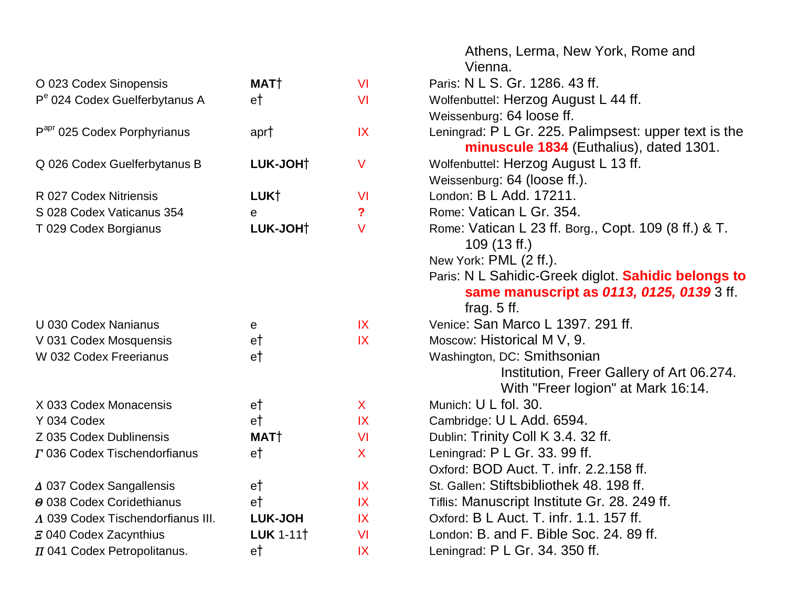|                                           |                       |              | Athens, Lerma, New York, Rome and<br>Vienna.                                                     |
|-------------------------------------------|-----------------------|--------------|--------------------------------------------------------------------------------------------------|
| O 023 Codex Sinopensis                    | MAT <sup>†</sup>      | <b>VI</b>    | Paris: N L S. Gr. 1286, 43 ff.                                                                   |
| P <sup>e</sup> 024 Codex Guelferbytanus A | e†                    | VI           | Wolfenbuttel: Herzog August L 44 ff.                                                             |
|                                           |                       |              | Weissenburg: 64 loose ff.                                                                        |
| P <sup>apr</sup> 025 Codex Porphyrianus   | apr†                  | IX           | Leningrad: P L Gr. 225. Palimpsest: upper text is the<br>minuscule 1834 (Euthalius), dated 1301. |
| Q 026 Codex Guelferbytanus B              | LUK-JOHT              | $\vee$       | Wolfenbuttel: Herzog August L 13 ff.                                                             |
|                                           |                       |              | Weissenburg: 64 (loose ff.).                                                                     |
| R 027 Codex Nitriensis                    | LUK†                  | <b>VI</b>    | London: B L Add. 17211.                                                                          |
| S 028 Codex Vaticanus 354                 | e                     | ?            | Rome: Vatican L Gr. 354.                                                                         |
| T 029 Codex Borgianus                     | LUK-JOHT              | V            | Rome: Vatican L 23 ff. Borg., Copt. 109 (8 ff.) & T.<br>$109(13 \text{ ff.})$                    |
|                                           |                       |              | New York: PML (2 ff.).                                                                           |
|                                           |                       |              | Paris: N L Sahidic-Greek diglot. Sahidic belongs to<br>same manuscript as 0113, 0125, 0139 3 ff. |
|                                           |                       |              | frag. $5$ ff.                                                                                    |
| U 030 Codex Nanianus                      | e                     | IX           | Venice: San Marco L 1397. 291 ff.                                                                |
| V 031 Codex Mosquensis                    | e†                    | IX           | Moscow: Historical M V, 9.                                                                       |
| W 032 Codex Freerianus                    | e†                    |              | Washington, DC: Smithsonian                                                                      |
|                                           |                       |              | Institution, Freer Gallery of Art 06.274.<br>With "Freer logion" at Mark 16:14.                  |
| X 033 Codex Monacensis                    | e†                    | $\mathsf{X}$ | Munich: U L fol. 30.                                                                             |
| Y 034 Codex                               | e†                    | IX           | Cambridge: U L Add. 6594.                                                                        |
| Z 035 Codex Dublinensis                   | MAT <sup>†</sup>      | <b>VI</b>    | Dublin: Trinity Coll K 3.4. 32 ff.                                                               |
| T 036 Codex Tischendorfianus              | e†                    | X            | Leningrad: P L Gr. 33. 99 ff.                                                                    |
|                                           |                       |              | Oxford: BOD Auct. T. infr. 2.2.158 ff.                                                           |
| △ 037 Codex Sangallensis                  | e†                    | IX           | St. Gallen: Stiftsbibliothek 48. 198 ff.                                                         |
| $\Theta$ 038 Codex Coridethianus          | e <sup>†</sup>        | IX           | Tiflis: Manuscript Institute Gr. 28. 249 ff.                                                     |
| A 039 Codex Tischendorfianus III.         | <b>LUK-JOH</b>        | IX           | Oxford: B L Auct. T. infr. 1.1. 157 ff.                                                          |
| E 040 Codex Zacynthius                    | LUK 1-11 <sup>†</sup> | <b>VI</b>    | London: B. and F. Bible Soc. 24. 89 ff.                                                          |
| $\pi$ 041 Codex Petropolitanus.           | e†                    | IX           | Leningrad: P L Gr. 34. 350 ff.                                                                   |
|                                           |                       |              |                                                                                                  |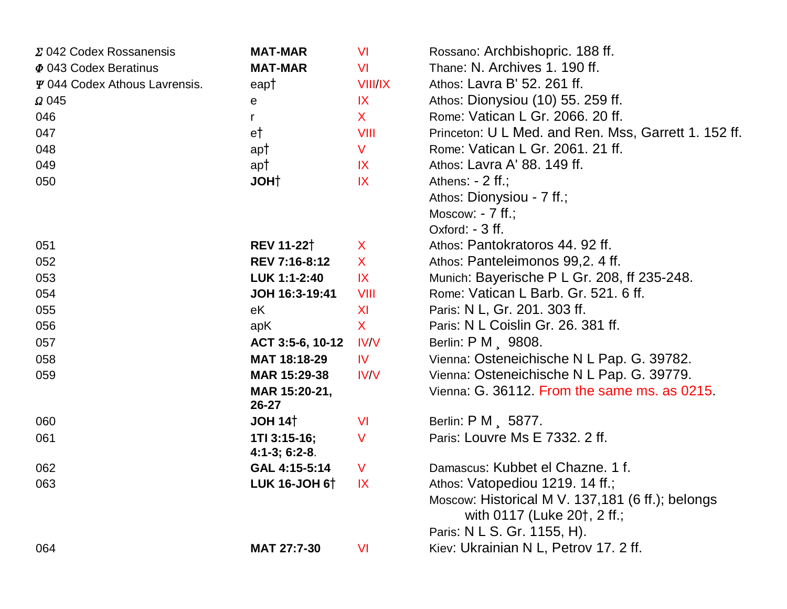| Σ 042 Codex Rossanensis       | <b>MAT-MAR</b>                  | <b>VI</b>      | Rossano: Archbishopric. 188 ff.                      |
|-------------------------------|---------------------------------|----------------|------------------------------------------------------|
| $\Phi$ 043 Codex Beratinus    | <b>MAT-MAR</b>                  | <b>VI</b>      | Thane: N. Archives 1. 190 ff.                        |
| Y 044 Codex Athous Lavrensis. | eap†                            | <b>VIII/IX</b> | Athos: Lavra B' 52. 261 ff.                          |
| $\Omega$ 045                  | е                               | IX             | Athos: Dionysiou (10) 55. 259 ff.                    |
| 046                           | r                               | $\mathsf{X}$   | Rome: Vatican L Gr. 2066. 20 ff.                     |
| 047                           | e†                              | <b>VIII</b>    | Princeton: U L Med. and Ren. Mss, Garrett 1. 152 ff. |
| 048                           | ap†                             | $\mathsf{V}$   | Rome: Vatican L Gr. 2061. 21 ff.                     |
| 049                           | ap†                             | IX             | Athos: Lavra A' 88. 149 ff.                          |
| 050                           | <b>JOHT</b>                     | IX             | Athens: $-2$ ff.;                                    |
|                               |                                 |                | Athos: Dionysiou - 7 ff.;                            |
|                               |                                 |                | Moscow: $-7$ ff.;                                    |
|                               |                                 |                | Oxford: - 3 ff.                                      |
| 051                           | <b>REV 11-22</b> <sup>†</sup>   | $\mathsf{X}$   | Athos: Pantokratoros 44.92 ff.                       |
| 052                           | REV 7:16-8:12                   | $\mathsf{X}$   | Athos: Panteleimonos 99,2.4 ff.                      |
| 053                           | LUK 1:1-2:40                    | IX             | Munich: Bayerische P L Gr. 208, ff 235-248.          |
| 054                           | JOH 16:3-19:41                  | VIII           | Rome: Vatican L Barb. Gr. 521. 6 ff.                 |
| 055                           | eK                              | XI             | Paris: N L, Gr. 201. 303 ff.                         |
| 056                           | apK                             | $\mathsf{X}$   | Paris: N L Coislin Gr. 26. 381 ff.                   |
| 057                           | ACT 3:5-6, 10-12                | IV/V           | Berlin: P M , 9808.                                  |
| 058                           | MAT 18:18-29                    | <b>IV</b>      | Vienna: Osteneichische N L Pap. G. 39782.            |
| 059                           | MAR 15:29-38                    | <b>IV/V</b>    | Vienna: Osteneichische N L Pap. G. 39779.            |
|                               | MAR 15:20-21,<br>26-27          |                | Vienna: G. 36112. From the same ms. as 0215.         |
| 060                           | JOH 14 <sup>†</sup>             | <b>VI</b>      | Berlin: P M, 5877.                                   |
| 061                           | 1TI 3:15-16;<br>$4:1-3; 6:2-8.$ | $\vee$         | Paris: Louvre Ms E 7332, 2 ff.                       |
| 062                           | GAL 4:15-5:14                   | $\mathsf{V}$   | Damascus: Kubbet el Chazne. 1 f.                     |
| 063                           | LUK 16-JOH 6 <sup>+</sup>       | X              | Athos: Vatopediou 1219. 14 ff.;                      |
|                               |                                 |                | Moscow: Historical M V. 137, 181 (6 ff.); belongs    |
|                               |                                 |                | with 0117 (Luke 20†, 2 ff.;                          |
|                               |                                 |                | Paris: N L S. Gr. 1155, H).                          |
| 064                           | MAT 27:7-30                     | <b>VI</b>      | Kiev: Ukrainian N L, Petrov 17. 2 ff.                |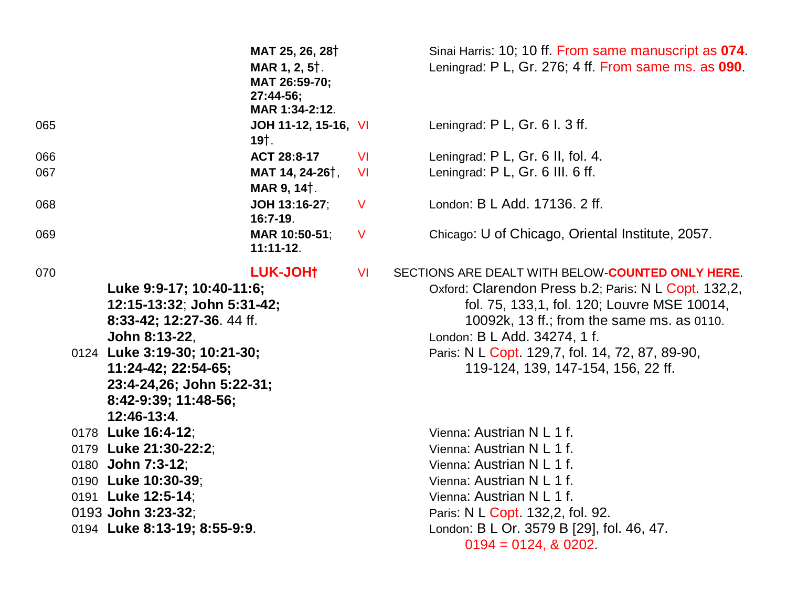|     |                                                                                                                                                                                                                                 | MAT 25, 26, 28 <sup>†</sup><br>MAR 1, 2, 5 <sup>†</sup> .<br>MAT 26:59-70;<br>27:44-56;<br>MAR 1:34-2:12. |              | Sinai Harris: 10; 10 ff. From same manuscript as 074.<br>Leningrad: P L, Gr. 276; 4 ff. From same ms. as 090.                                                                                                                                                                                                                  |
|-----|---------------------------------------------------------------------------------------------------------------------------------------------------------------------------------------------------------------------------------|-----------------------------------------------------------------------------------------------------------|--------------|--------------------------------------------------------------------------------------------------------------------------------------------------------------------------------------------------------------------------------------------------------------------------------------------------------------------------------|
| 065 |                                                                                                                                                                                                                                 | JOH 11-12, 15-16, VI<br>19†.                                                                              |              | Leningrad: P L, Gr. 6 l. 3 ff.                                                                                                                                                                                                                                                                                                 |
| 066 |                                                                                                                                                                                                                                 | ACT 28:8-17                                                                                               | <b>VI</b>    | Leningrad: P L, Gr. 6 II, fol. 4.                                                                                                                                                                                                                                                                                              |
| 067 |                                                                                                                                                                                                                                 | MAT 14, 24-26 <sup>†</sup> ,<br>MAR 9, 14 <sup>†</sup> .                                                  | <b>VI</b>    | Leningrad: P L, Gr. 6 III. 6 ff.                                                                                                                                                                                                                                                                                               |
| 068 |                                                                                                                                                                                                                                 | JOH 13:16-27:<br>$16:7-19.$                                                                               | $\vee$       | London: B L Add. 17136. 2 ff.                                                                                                                                                                                                                                                                                                  |
| 069 |                                                                                                                                                                                                                                 | MAR 10:50-51;<br>$11:11-12.$                                                                              | $\mathsf{V}$ | Chicago: U of Chicago, Oriental Institute, 2057.                                                                                                                                                                                                                                                                               |
| 070 | Luke 9:9-17; 10:40-11:6;<br>12:15-13:32; John 5:31-42;<br>8:33-42; 12:27-36. 44 ff.<br>John 8:13-22,<br>0124 Luke 3:19-30; 10:21-30;<br>11:24-42; 22:54-65;<br>23:4-24,26; John 5:22-31;<br>8:42-9:39; 11:48-56;<br>12:46-13:4. | LUK-JOH†                                                                                                  | <b>VI</b>    | SECTIONS ARE DEALT WITH BELOW-COUNTED ONLY HERE.<br>Oxford: Clarendon Press b.2; Paris: N L Copt. 132,2,<br>fol. 75, 133,1, fol. 120; Louvre MSE 10014,<br>10092k, 13 ff.; from the same ms. as 0110.<br>London: B L Add. 34274, 1 f.<br>Paris: N L Copt. 129,7, fol. 14, 72, 87, 89-90,<br>119-124, 139, 147-154, 156, 22 ff. |
|     | 0178 Luke 16:4-12;<br>0179 Luke 21:30-22:2;<br>0180 John 7:3-12;<br>0190 Luke 10:30-39;<br>0191 Luke 12:5-14;                                                                                                                   |                                                                                                           |              | Vienna: Austrian N L 1 f.<br>Vienna: Austrian N L 1 f.<br>Vienna: Austrian N L 1 f.<br>Vienna: Austrian N L 1 f.<br>Vienna: Austrian N L 1 f.                                                                                                                                                                                  |
|     | 0193 John 3:23-32;<br>0194 Luke 8:13-19; 8:55-9:9.                                                                                                                                                                              |                                                                                                           |              | Paris: N L Copt. 132,2, fol. 92.<br>London: B L Or. 3579 B [29], fol. 46, 47.<br>$0194 = 0124$ , & 0202.                                                                                                                                                                                                                       |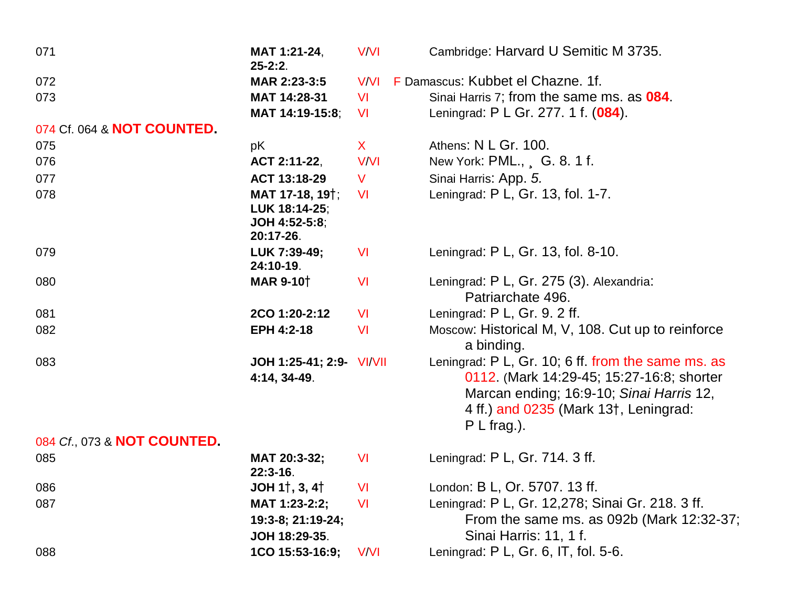| 071                         | MAT 1:21-24,<br>$25 - 2:2$ .                                                | <b>V/VI</b>  | Cambridge: Harvard U Semitic M 3735.                                                                                                                                                                               |
|-----------------------------|-----------------------------------------------------------------------------|--------------|--------------------------------------------------------------------------------------------------------------------------------------------------------------------------------------------------------------------|
| 072                         | MAR 2:23-3:5                                                                | <b>V/VI</b>  | F Damascus: Kubbet el Chazne, 1f.                                                                                                                                                                                  |
| 073                         | MAT 14:28-31                                                                | <b>VI</b>    | Sinai Harris 7; from the same ms. as 084.                                                                                                                                                                          |
|                             | MAT 14:19-15:8;                                                             | <b>VI</b>    | Leningrad: P L Gr. 277. 1 f. (084).                                                                                                                                                                                |
| 074 Cf. 064 & NOT COUNTED.  |                                                                             |              |                                                                                                                                                                                                                    |
| 075                         | pK                                                                          | $\mathsf{X}$ | Athens: N L Gr. 100.                                                                                                                                                                                               |
| 076                         | ACT 2:11-22,                                                                | <b>V/VI</b>  | New York: PML., G. 8. 1 f.                                                                                                                                                                                         |
| 077                         | ACT 13:18-29                                                                | $\vee$       | Sinai Harris: App. 5.                                                                                                                                                                                              |
| 078                         | MAT 17-18, 19 <sup>†</sup> ;<br>LUK 18:14-25;<br>JOH 4:52-5:8;<br>20:17-26. | <b>VI</b>    | Leningrad: P L, Gr. 13, fol. 1-7.                                                                                                                                                                                  |
| 079                         | LUK 7:39-49;<br>24:10-19.                                                   | <b>VI</b>    | Leningrad: P L, Gr. 13, fol. 8-10.                                                                                                                                                                                 |
| 080                         | <b>MAR 9-10</b> <sup>†</sup>                                                | <b>VI</b>    | Leningrad: P L, Gr. 275 (3). Alexandria:<br>Patriarchate 496.                                                                                                                                                      |
| 081                         | 2CO 1:20-2:12                                                               | <b>VI</b>    | Leningrad: P L, Gr. 9. 2 ff.                                                                                                                                                                                       |
| 082                         | EPH 4:2-18                                                                  | <b>VI</b>    | Moscow: Historical M, V, 108. Cut up to reinforce<br>a binding.                                                                                                                                                    |
| 083                         | JOH 1:25-41; 2:9- VI/VII<br>4:14, 34-49.                                    |              | Leningrad: P L, Gr. 10; 6 ff. from the same ms. as<br>0112. (Mark 14:29-45; 15:27-16:8; shorter<br>Marcan ending; 16:9-10; Sinai Harris 12,<br>4 ff.) and 0235 (Mark 13 <sup>†</sup> , Leningrad:<br>$P L$ frag.). |
| 084 Cf., 073 & NOT COUNTED. |                                                                             |              |                                                                                                                                                                                                                    |
| 085                         | MAT 20:3-32;<br>$22:3-16.$                                                  | <b>VI</b>    | Leningrad: P L, Gr. 714. 3 ff.                                                                                                                                                                                     |
| 086                         | JOH 1 $\dagger$ , 3, 4 $\dagger$                                            | <b>VI</b>    | London: B L, Or. 5707. 13 ff.                                                                                                                                                                                      |
| 087                         | MAT 1:23-2:2;<br>19:3-8; 21:19-24;<br>JOH 18:29-35.                         | <b>VI</b>    | Leningrad: P L, Gr. 12,278; Sinai Gr. 218. 3 ff.<br>From the same ms. as 092b (Mark 12:32-37;<br>Sinai Harris: 11, 1 f.                                                                                            |
| 088                         | 1CO 15:53-16:9;                                                             | V/VI         | Leningrad: $P L$ , Gr. 6, IT, fol. 5-6.                                                                                                                                                                            |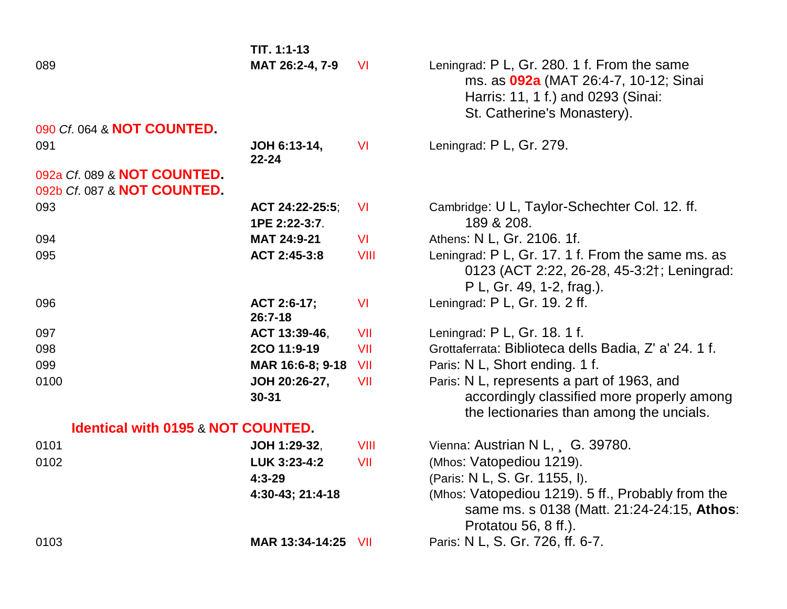|                                                            | $TIT. 1:1-13$                    |            |                                                                                                                                                                  |
|------------------------------------------------------------|----------------------------------|------------|------------------------------------------------------------------------------------------------------------------------------------------------------------------|
| 089                                                        | MAT 26:2-4, 7-9                  | <b>VI</b>  | Leningrad: P L, Gr. 280. 1 f. From the same<br>ms. as <b>092a</b> (MAT 26:4-7, 10-12; Sinai<br>Harris: 11, 1 f.) and 0293 (Sinai:<br>St. Catherine's Monastery). |
| 090 Cf. 064 & NOT COUNTED.                                 |                                  |            |                                                                                                                                                                  |
| 091                                                        | JOH 6:13-14,<br>$22 - 24$        | <b>VI</b>  | Leningrad: P L, Gr. 279.                                                                                                                                         |
| 092a Cf. 089 & NOT COUNTED.<br>092b Cf. 087 & NOT COUNTED. |                                  |            |                                                                                                                                                                  |
| 093                                                        | ACT 24:22-25:5;<br>1PE 2:22-3:7. | <b>VI</b>  | Cambridge: U L, Taylor-Schechter Col. 12. ff.<br>189 & 208.                                                                                                      |
| 094                                                        | MAT 24:9-21                      | <b>VI</b>  | Athens: N L, Gr. 2106. 1f.                                                                                                                                       |
| 095                                                        | ACT 2:45-3:8                     | VIII       | Leningrad: P L, Gr. 17. 1 f. From the same ms. as<br>0123 (ACT 2:22, 26-28, 45-3:2†; Leningrad:<br>P L, Gr. 49, 1-2, frag.).                                     |
| 096                                                        | ACT 2:6-17;<br>$26:7-18$         | <b>VI</b>  | Leningrad: P L, Gr. 19. 2 ff.                                                                                                                                    |
| 097                                                        | ACT 13:39-46,                    | VII        | Leningrad: P L, Gr. 18. 1 f.                                                                                                                                     |
| 098                                                        | 2CO 11:9-19                      | VII        | Grottaferrata: Biblioteca dells Badia, Z' a' 24. 1 f.                                                                                                            |
| 099                                                        | MAR 16:6-8; 9-18                 | <b>VII</b> | Paris: N L, Short ending. 1 f.                                                                                                                                   |
| 0100                                                       | JOH 20:26-27,<br>$30 - 31$       | VII        | Paris: N L, represents a part of 1963, and<br>accordingly classified more properly among<br>the lectionaries than among the uncials.                             |
| <b>Identical with 0195 &amp; NOT COUNTED.</b>              |                                  |            |                                                                                                                                                                  |
| 0101                                                       | JOH 1:29-32,                     | VIII       | Vienna: Austrian N L, G. 39780.                                                                                                                                  |
| 0102                                                       | LUK 3:23-4:2                     | VII        | (Mhos: Vatopediou 1219).                                                                                                                                         |
|                                                            | $4:3 - 29$<br>4:30-43; 21:4-18   |            | (Paris: N L, S. Gr. 1155, I).<br>(Mhos: Vatopediou 1219). 5 ff., Probably from the<br>same ms. s 0138 (Matt. 21:24-24:15, Athos:<br>Protatou 56, 8 ff.).         |
| 0103                                                       | MAR 13:34-14:25 VII              |            | Paris: N L, S. Gr. 726, ff. 6-7.                                                                                                                                 |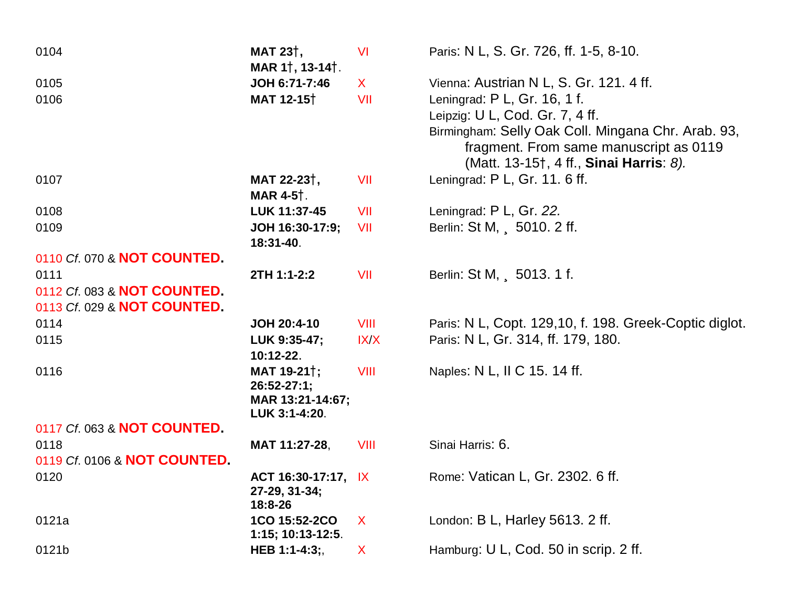| 0104                         | MAT 23 <sup>†</sup> ,<br>MAR 11, 13-141.                                       | <b>VI</b>    | Paris: N L, S. Gr. 726, ff. 1-5, 8-10.                                                                                                                                                                     |
|------------------------------|--------------------------------------------------------------------------------|--------------|------------------------------------------------------------------------------------------------------------------------------------------------------------------------------------------------------------|
| 0105                         | JOH 6:71-7:46                                                                  | $\mathsf{X}$ | Vienna: Austrian N L, S. Gr. 121. 4 ff.                                                                                                                                                                    |
| 0106                         | MAT 12-15 <sup>†</sup>                                                         | VII          | Leningrad: P L, Gr. 16, 1 f.<br>Leipzig: U L, Cod. Gr. 7, 4 ff.<br>Birmingham: Selly Oak Coll. Mingana Chr. Arab. 93,<br>fragment. From same manuscript as 0119<br>(Matt. 13-15†, 4 ff., Sinai Harris: 8). |
| 0107                         | MAT 22-23 <sup>†</sup> ,<br><b>MAR 4-5</b> †.                                  | VII          | Leningrad: P L, Gr. 11. 6 ff.                                                                                                                                                                              |
| 0108                         | LUK 11:37-45                                                                   | VII          | Leningrad: P L, Gr. 22.                                                                                                                                                                                    |
| 0109                         | JOH 16:30-17:9;<br>18:31-40.                                                   | VII          | Berlin: St M, 5010. 2 ff.                                                                                                                                                                                  |
| 0110 Cf. 070 & NOT COUNTED.  |                                                                                |              |                                                                                                                                                                                                            |
| 0111                         | 2TH 1:1-2:2                                                                    | VII          | Berlin: St M, 5013. 1 f.                                                                                                                                                                                   |
| 0112 Cf. 083 & NOT COUNTED.  |                                                                                |              |                                                                                                                                                                                                            |
| 0113 Cf. 029 & NOT COUNTED.  |                                                                                |              |                                                                                                                                                                                                            |
| 0114                         | JOH 20:4-10                                                                    | VIII         | Paris: N L, Copt. 129,10, f. 198. Greek-Coptic diglot.                                                                                                                                                     |
| 0115                         | LUK 9:35-47;<br>10:12-22.                                                      | IX/X         | Paris: N L, Gr. 314, ff. 179, 180.                                                                                                                                                                         |
| 0116                         | MAT 19-21 <sup>†</sup> ;<br>$26:52-27:1;$<br>MAR 13:21-14:67;<br>LUK 3:1-4:20. | <b>VIII</b>  | Naples: N L, II C 15. 14 ff.                                                                                                                                                                               |
| 0117 Cf. 063 & NOT COUNTED.  |                                                                                |              |                                                                                                                                                                                                            |
| 0118                         | MAT 11:27-28,                                                                  | VIII         | Sinai Harris: 6.                                                                                                                                                                                           |
| 0119 Cf. 0106 & NOT COUNTED. |                                                                                |              |                                                                                                                                                                                                            |
| 0120                         | ACT 16:30-17:17, IX<br>27-29, 31-34;<br>18:8-26                                |              | Rome: Vatican L, Gr. 2302. 6 ff.                                                                                                                                                                           |
| 0121a                        | 1CO 15:52-2CO<br>$1:15; 10:13-12:5.$                                           | $\mathsf{X}$ | London: B L, Harley 5613. 2 ff.                                                                                                                                                                            |
| 0121b                        | HEB 1:1-4:3;,                                                                  | X            | Hamburg: U L, Cod. 50 in scrip. 2 ff.                                                                                                                                                                      |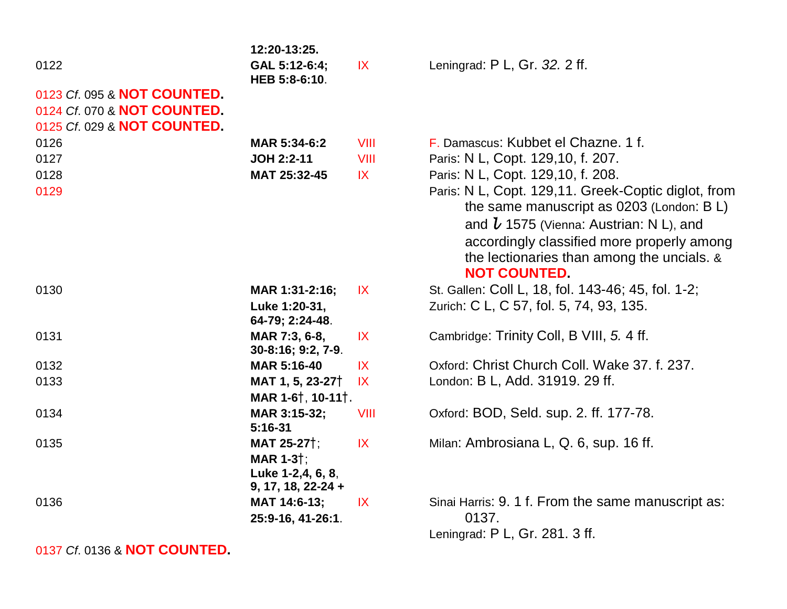|                                                                                           | 12:20-13:25.                                                                                 |                         |                                                                                                                                                                                                                                                                  |
|-------------------------------------------------------------------------------------------|----------------------------------------------------------------------------------------------|-------------------------|------------------------------------------------------------------------------------------------------------------------------------------------------------------------------------------------------------------------------------------------------------------|
| 0122                                                                                      | GAL 5:12-6:4;<br>HEB 5:8-6:10.                                                               | IX                      | Leningrad: P L, Gr. 32. 2 ff.                                                                                                                                                                                                                                    |
| 0123 Cf. 095 & NOT COUNTED.<br>0124 Cf. 070 & NOT COUNTED.<br>0125 Cf. 029 & NOT COUNTED. |                                                                                              |                         |                                                                                                                                                                                                                                                                  |
| 0126                                                                                      | MAR 5:34-6:2                                                                                 | VIII                    | F. Damascus: Kubbet el Chazne, 1 f.                                                                                                                                                                                                                              |
| 0127                                                                                      | <b>JOH 2:2-11</b>                                                                            | VIII                    | Paris: N L, Copt. 129,10, f. 207.                                                                                                                                                                                                                                |
| 0128                                                                                      | MAT 25:32-45                                                                                 | X                       | Paris: N L, Copt. 129,10, f. 208.                                                                                                                                                                                                                                |
| 0129                                                                                      |                                                                                              |                         | Paris: N L, Copt. 129,11. Greek-Coptic diglot, from<br>the same manuscript as 0203 (London: B L)<br>and $l$ 1575 (Vienna: Austrian: N L), and<br>accordingly classified more properly among<br>the lectionaries than among the uncials. &<br><b>NOT COUNTED.</b> |
| 0130                                                                                      | MAR 1:31-2:16;                                                                               | X                       | St. Gallen: Coll L, 18, fol. 143-46; 45, fol. 1-2;                                                                                                                                                                                                               |
|                                                                                           | Luke 1:20-31,<br>64-79; 2:24-48.                                                             |                         | Zurich: C L, C 57, fol. 5, 74, 93, 135.                                                                                                                                                                                                                          |
| 0131                                                                                      | MAR 7:3, 6-8,<br>30-8:16; 9:2, 7-9.                                                          | $\mathsf{IX}$           | Cambridge: Trinity Coll, B VIII, 5.4 ff.                                                                                                                                                                                                                         |
| 0132                                                                                      | <b>MAR 5:16-40</b>                                                                           | IX                      | Oxford: Christ Church Coll. Wake 37, f. 237.                                                                                                                                                                                                                     |
| 0133                                                                                      | MAT 1, 5, 23-27 <sup>†</sup><br>MAR 1-6 <sup>†</sup> , 10-11 <sup>†</sup> .                  | $\mathsf{I} \mathsf{X}$ | London: B L, Add. 31919. 29 ff.                                                                                                                                                                                                                                  |
| 0134                                                                                      | MAR 3:15-32;<br>$5:16-31$                                                                    | VIII                    | Oxford: BOD, Seld. sup. 2. ff. 177-78.                                                                                                                                                                                                                           |
| 0135                                                                                      | <b>MAT 25-27</b> †;<br>MAR 1-3 <sup>†</sup> ;<br>Luke 1-2,4, 6, 8,<br>$9, 17, 18, 22 - 24 +$ | IX                      | Milan: Ambrosiana L, Q. 6, sup. 16 ff.                                                                                                                                                                                                                           |
| 0136                                                                                      | MAT 14:6-13;<br>25:9-16, 41-26:1.                                                            | $\mathsf{IX}$           | Sinai Harris: 9. 1 f. From the same manuscript as:<br>0137.                                                                                                                                                                                                      |
|                                                                                           |                                                                                              |                         | Leningrad: P L, Gr. 281. 3 ff.                                                                                                                                                                                                                                   |

0137 *Cf*. 0136 & **NOT COUNTED.**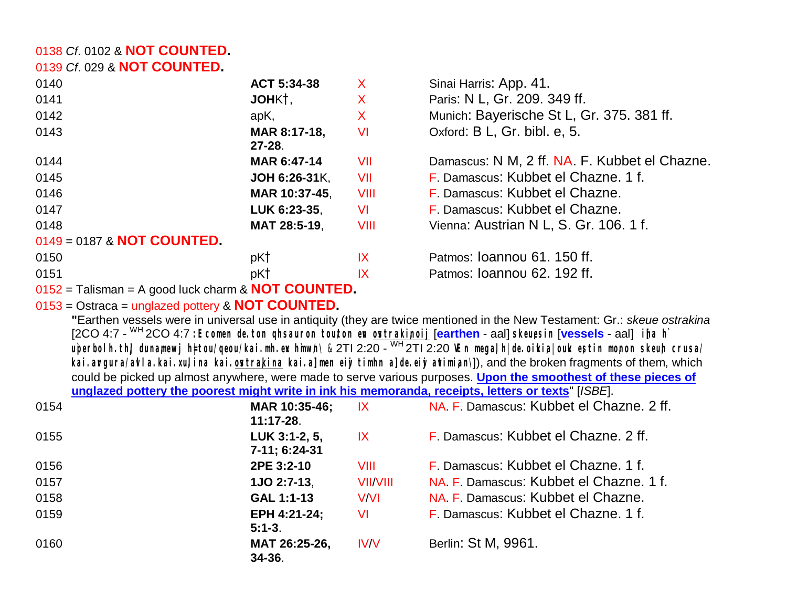#### *Cf*. 0102 & **NOT COUNTED.** *Cf*. 029 & **NOT COUNTED.**

| 0140                       | ACT 5:34-38                                          | X    | Sinai Harris: App. 41.                        |
|----------------------------|------------------------------------------------------|------|-----------------------------------------------|
| 0141                       | JOHK†,                                               | X    | Paris: N L, Gr. 209. 349 ff.                  |
| 0142                       | apK,                                                 | X    | Munich: Bayerische St L, Gr. 375. 381 ff.     |
| 0143                       | MAR 8:17-18,                                         | VI   | Oxford: B L, Gr. bibl. e, 5.                  |
|                            | $27 - 28$ .                                          |      |                                               |
| 0144                       | MAR 6:47-14                                          | VII  | Damascus: N M, 2 ff. NA. F. Kubbet el Chazne. |
| 0145                       | JOH 6:26-31K,                                        | VII  | F. Damascus: Kubbet el Chazne. 1 f.           |
| 0146                       | MAR 10:37-45,                                        | VIII | F. Damascus: Kubbet el Chazne.                |
| 0147                       | LUK 6:23-35,                                         | VI   | F. Damascus: Kubbet el Chazne.                |
| 0148                       | MAT 28:5-19,                                         | VIII | Vienna: Austrian N L, S. Gr. 106. 1 f.        |
| 0149 = 0187 & NOT COUNTED. |                                                      |      |                                               |
| 0150                       | pK†                                                  | IX   | Patmos: Joannou 61, 150 ff.                   |
| 0151                       | pK†                                                  | IX   | Patmos: Ioannou 62. 192 ff.                   |
|                            | 0450 Toliamon, A good lugh abound <b>NOT COUNTED</b> |      |                                               |

= Talisman = A good luck charm & **NOT COUNTED.**

### = Ostraca = unglazed pottery & **NOT COUNTED.**

**"**Earthen vessels were in universal use in antiquity (they are twice mentioned in the New Testament: Gr.: *skeue ostrakina* [2CO 4:7 - WH 2CO 4:7 **:Ecomen de. to.n qhsauro.n tou/ton evn ovstraki,noij** [**earthen** - aal] **skeu,esin** [**vessels** - aal] **i[na h`** uperbolh thj dunamewj h⊧tou/qeou/kai mh ex hmwh\ & 2Tl 2:20 - <sup>WH</sup> 2Tl 2:20 VEn megalh| de oikia| ouk estin monon skeuh crusa kai. argura/ alla. kai. xulina kai. ostrakina kai. a men eij timhn a de eij atimian\], and the broken fragments of them, which could be picked up almost anywhere, were made to serve various purposes. **Upon the smoothest of these pieces of unglazed pottery the poorest might write in ink his memoranda, receipts, letters or texts**" [*ISBE*].

| 0154 | MAR 10:35-46;<br>IX<br>$11:17-28$ .        | NA. F. Damascus: Kubbet el Chazne. 2 ff. |
|------|--------------------------------------------|------------------------------------------|
| 0155 | LUK 3:1-2, 5,<br>IX<br>7-11; 6:24-31       | F. Damascus: Kubbet el Chazne, 2 ff.     |
| 0156 | 2PE 3:2-10<br>VIII                         | F. Damascus: Kubbet el Chazne, 1 f.      |
| 0157 | <b>VII/VIII</b><br>1JO 2:7-13.             | NA, F. Damascus: Kubbet el Chazne, 1 f.  |
| 0158 | GAL 1:1-13<br><b>V/VI</b>                  | NA. F. Damascus: Kubbet el Chazne.       |
| 0159 | EPH 4:21-24;<br><b>VI</b><br>$5:1 - 3.$    | F. Damascus: Kubbet el Chazne. 1 f.      |
| 0160 | MAT 26:25-26,<br><b>IV/V</b><br>$34 - 36.$ | Berlin: St M, 9961.                      |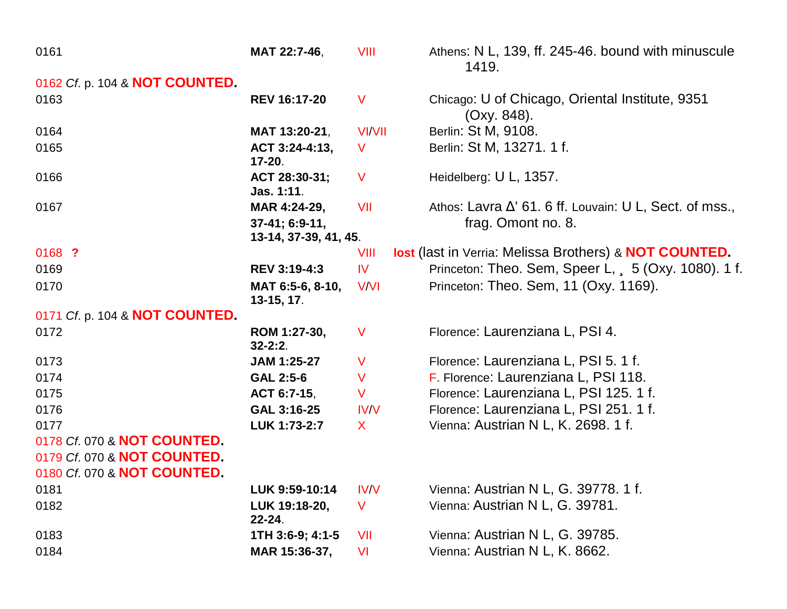| 0161                           | MAT 22:7-46,                            | <b>VIII</b>   | Athens: N L, 139, ff. 245-46. bound with minuscule<br>1419.          |
|--------------------------------|-----------------------------------------|---------------|----------------------------------------------------------------------|
| 0162 Cf. p. 104 & NOT COUNTED. |                                         |               |                                                                      |
| 0163                           | <b>REV 16:17-20</b>                     | $\mathsf{V}$  | Chicago: U of Chicago, Oriental Institute, 9351<br>(Oxy. 848).       |
| 0164                           | MAT 13:20-21,                           | <b>VI/VII</b> | Berlin: St M, 9108.                                                  |
| 0165                           | ACT 3:24-4:13,<br>$17 - 20.$            | V             | Berlin: St M, 13271. 1 f.                                            |
| 0166                           | ACT 28:30-31;<br>Jas. 1:11.             | V             | Heidelberg: U L, 1357.                                               |
| 0167                           | MAR 4:24-29,                            | VII           | Athos: Lavra $\Delta'$ 61. 6 ff. Louvain: U L, Sect. of mss.,        |
|                                | 37-41; 6:9-11,<br>13-14, 37-39, 41, 45. |               | frag. Omont no. 8.                                                   |
| 0168 ?                         |                                         | VIII          | <b>lost</b> (last in Verria: Melissa Brothers) & <b>NOT COUNTED.</b> |
| 0169                           | <b>REV 3:19-4:3</b>                     | $\mathsf{IV}$ | Princeton: Theo. Sem, Speer L, 5 (Oxy. 1080). 1 f.                   |
| 0170                           | MAT 6:5-6, 8-10,<br>$13-15, 17.$        | <b>V/VI</b>   | Princeton: Theo. Sem, 11 (Oxy. 1169).                                |
| 0171 Cf. p. 104 & NOT COUNTED. |                                         |               |                                                                      |
| 0172                           | ROM 1:27-30,<br>$32 - 2:2$ .            | $\vee$        | Florence: Laurenziana L, PSI 4.                                      |
| 0173                           | JAM 1:25-27                             | $\vee$        | Florence: Laurenziana L, PSI 5.1 f.                                  |
| 0174                           | <b>GAL 2:5-6</b>                        | $\vee$        | F. Florence: Laurenziana L, PSI 118.                                 |
| 0175                           | ACT 6:7-15,                             | $\vee$        | Florence: Laurenziana L, PSI 125.1 f.                                |
| 0176                           | GAL 3:16-25                             | IV/V          | Florence: Laurenziana L, PSI 251.1 f.                                |
| 0177                           | LUK 1:73-2:7                            | $\mathsf{X}$  | Vienna: Austrian N L, K. 2698. 1 f.                                  |
| 0178 Cf. 070 & NOT COUNTED.    |                                         |               |                                                                      |
| 0179 Cf. 070 & NOT COUNTED.    |                                         |               |                                                                      |
| 0180 Cf. 070 & NOT COUNTED.    |                                         |               |                                                                      |
| 0181                           | LUK 9:59-10:14                          | <b>IV/V</b>   | Vienna: Austrian N L, G. 39778. 1 f.                                 |
| 0182                           | LUK 19:18-20,<br>$22 - 24$ .            | V             | Vienna: Austrian N L, G. 39781.                                      |
| 0183                           | 1TH 3:6-9; 4:1-5                        | VII           | Vienna: Austrian N L, G. 39785.                                      |
| 0184                           | MAR 15:36-37,                           | VI            | Vienna: Austrian N L, K. 8662.                                       |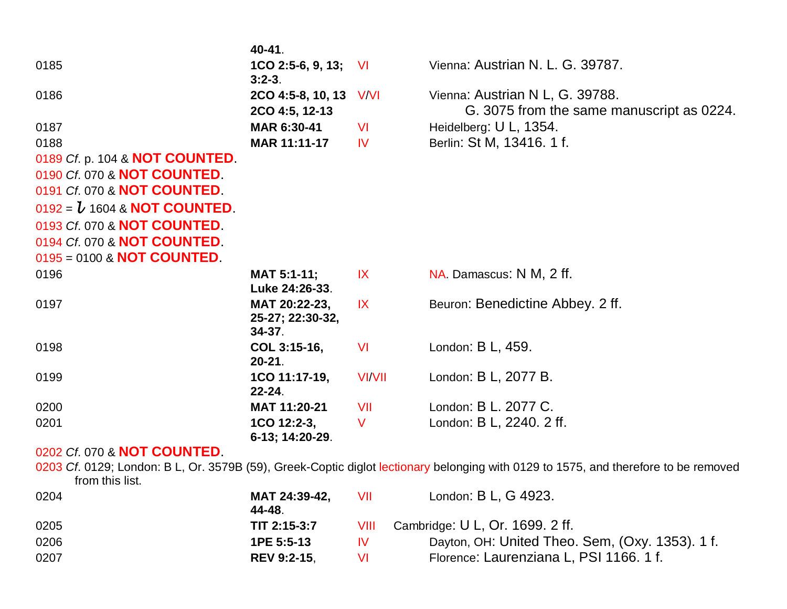|                                     | 40-41.                                           |               |                                                                                                                                     |
|-------------------------------------|--------------------------------------------------|---------------|-------------------------------------------------------------------------------------------------------------------------------------|
| 0185                                | $1CO$ 2:5-6, 9, 13; VI<br>$3:2-3.$               |               | Vienna: Austrian N. L. G. 39787.                                                                                                    |
| 0186                                | 2CO 4:5-8, 10, 13 V/VI<br>2CO 4:5, 12-13         |               | Vienna: Austrian N L, G. 39788.<br>G. 3075 from the same manuscript as 0224.                                                        |
| 0187                                | MAR 6:30-41                                      | <b>VI</b>     | Heidelberg: U L, 1354.                                                                                                              |
| 0188                                | MAR 11:11-17                                     | <b>IV</b>     | Berlin: St M, 13416. 1 f.                                                                                                           |
| 0189 Cf. p. 104 & NOT COUNTED.      |                                                  |               |                                                                                                                                     |
| 0190 Cf. 070 & NOT COUNTED          |                                                  |               |                                                                                                                                     |
| 0191 Cf. 070 & NOT COUNTED.         |                                                  |               |                                                                                                                                     |
| 0192 = $\bm{b}$ 1604 & NOT COUNTED. |                                                  |               |                                                                                                                                     |
| 0193 Cf. 070 & NOT COUNTED          |                                                  |               |                                                                                                                                     |
| 0194 Cf. 070 & NOT COUNTED          |                                                  |               |                                                                                                                                     |
| $0195 = 0100$ & NOT COUNTED         |                                                  |               |                                                                                                                                     |
| 0196                                | MAT 5:1-11;<br>Luke 24:26-33.                    | X             | NA. Damascus: N M, 2 ff.                                                                                                            |
| 0197                                | MAT 20:22-23,<br>25-27; 22:30-32,<br>$34 - 37$ . | X             | Beuron: Benedictine Abbey. 2 ff.                                                                                                    |
| 0198                                | COL 3:15-16,<br>$20 - 21$ .                      | VI            | London: B L, 459.                                                                                                                   |
| 0199                                | 1CO 11:17-19,<br>$22 - 24$ .                     | <b>VI/VII</b> | London: B L, 2077 B.                                                                                                                |
| 0200                                | MAT 11:20-21                                     | VII           | London: B L. 2077 C.                                                                                                                |
| 0201                                | 1CO 12:2-3,<br>6-13; 14:20-29.                   | V             | London: B L, 2240. 2 ff.                                                                                                            |
| 0202 Cf. 070 & <b>NOT COUNTED</b>   |                                                  |               |                                                                                                                                     |
| from this list.                     |                                                  |               | 0203 Cf. 0129; London: B L, Or. 3579B (59), Greek-Coptic diglot lectionary belonging with 0129 to 1575, and therefore to be removed |
| 0204                                | MAT 24:39-42,<br>44-48.                          | VII           | London: B L, G 4923.                                                                                                                |
| 0205                                | TIT 2:15-3:7                                     | VIII          | Cambridge: U L, Or. 1699. 2 ff.                                                                                                     |
| 0206                                | 1PE 5:5-13                                       | IV            | Dayton, OH: United Theo. Sem, (Oxy. 1353). 1 f.                                                                                     |
| 0207                                | <b>REV 9:2-15,</b>                               | VI            | Florence: Laurenziana L, PSI 1166. 1 f.                                                                                             |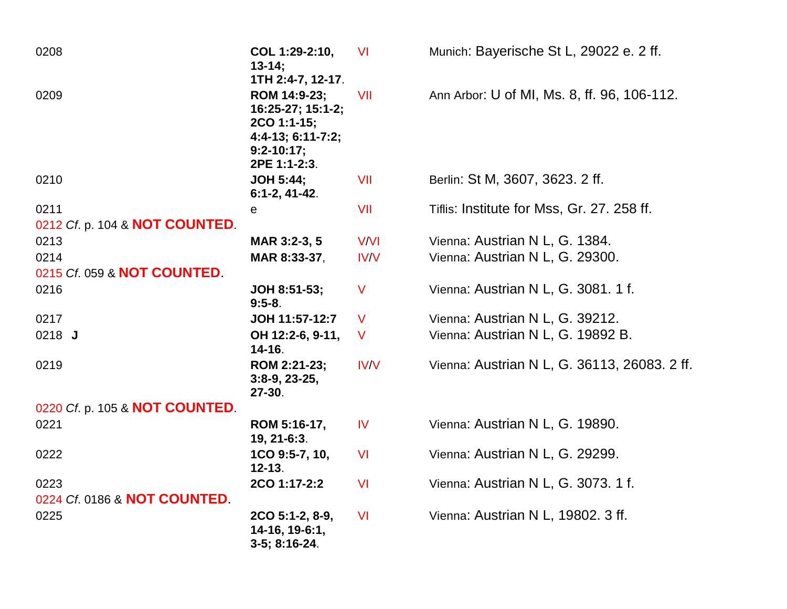| 0208                           | COL 1:29-2:10,<br>$13 - 14$ ;<br>1TH 2:4-7, 12-17.                                                      | <b>VI</b>   | Munich: Bayerische St L, 29022 e. 2 ff.      |
|--------------------------------|---------------------------------------------------------------------------------------------------------|-------------|----------------------------------------------|
| 0209                           | ROM 14:9-23;<br>16:25-27; 15:1-2;<br>2CO 1:1-15;<br>4:4-13; 6:11-7:2;<br>$9:2 - 10:17;$<br>2PE 1:1-2:3. | VII         | Ann Arbor: U of MI, Ms. 8, ff. 96, 106-112.  |
| 0210                           | <b>JOH 5:44;</b><br>$6:1-2, 41-42.$                                                                     | VII         | Berlin: St M, 3607, 3623. 2 ff.              |
| 0211                           | е                                                                                                       | VII         | Tiflis: Institute for Mss, Gr. 27. 258 ff.   |
| 0212 Cf. p. 104 & NOT COUNTED. |                                                                                                         |             |                                              |
| 0213                           | MAR 3:2-3, 5                                                                                            | V/VI        | Vienna: Austrian N L, G. 1384.               |
| 0214                           | MAR 8:33-37,                                                                                            | IV/V        | Vienna: Austrian N L, G. 29300.              |
| 0215 Cf. 059 & NOT COUNTED.    |                                                                                                         |             |                                              |
| 0216                           | JOH 8:51-53;<br>$9:5-8.$                                                                                | V           | Vienna: Austrian N L, G. 3081. 1 f.          |
| 0217                           | JOH 11:57-12:7                                                                                          | V           | Vienna: Austrian N L, G. 39212.              |
| 0218 J                         | OH 12:2-6, 9-11,<br>$14 - 16.$                                                                          | V           | Vienna: Austrian N L, G. 19892 B.            |
| 0219                           | ROM 2:21-23;<br>$3:8-9, 23-25,$<br>27-30.                                                               | <b>IV/V</b> | Vienna: Austrian N L, G. 36113, 26083. 2 ff. |
| 0220 Cf. p. 105 & NOT COUNTED. |                                                                                                         |             |                                              |
| 0221                           | ROM 5:16-17,<br>19, 21-6:3.                                                                             | <b>IV</b>   | Vienna: Austrian N L, G. 19890.              |
| 0222                           | 1CO 9:5-7, 10,<br>$12 - 13.$                                                                            | <b>VI</b>   | Vienna: Austrian N L, G. 29299.              |
| 0223                           | 2CO 1:17-2:2                                                                                            | <b>VI</b>   | Vienna: Austrian N L, G. 3073. 1 f.          |
| 0224 Cf. 0186 & NOT COUNTED    |                                                                                                         |             |                                              |
| 0225                           | 2CO 5:1-2, 8-9,<br>14-16, 19-6:1,<br>3-5; 8:16-24.                                                      | <b>VI</b>   | Vienna: Austrian N L, 19802. 3 ff.           |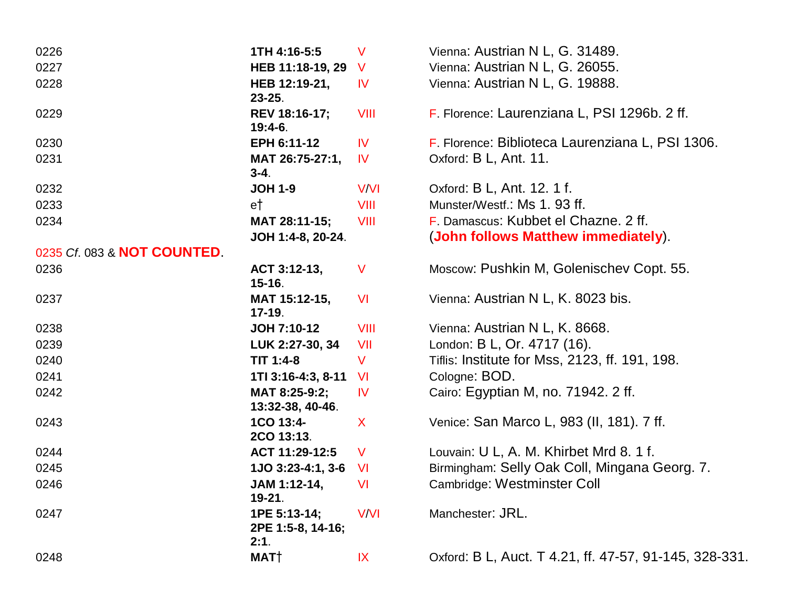| 0226                        | 1TH 4:16-5:5                              | $\vee$        | Vienna: Austrian N L, G. 31489.                        |
|-----------------------------|-------------------------------------------|---------------|--------------------------------------------------------|
| 0227                        | HEB 11:18-19, 29                          | V             | Vienna: Austrian N L, G. 26055.                        |
| 0228                        | HEB 12:19-21,<br>$23 - 25$ .              | <b>IV</b>     | Vienna: Austrian N L, G. 19888.                        |
| 0229                        | REV 18:16-17;<br>$19:4-6.$                | VIII          | F. Florence: Laurenziana L, PSI 1296b. 2 ff.           |
| 0230                        | EPH 6:11-12                               | <b>IV</b>     | F. Florence: Biblioteca Laurenziana L, PSI 1306.       |
| 0231                        | MAT 26:75-27:1,<br>$3 - 4.$               | <b>IV</b>     | Oxford: B L, Ant. 11.                                  |
| 0232                        | <b>JOH 1-9</b>                            | V/VI          | Oxford: B L, Ant. 12. 1 f.                             |
| 0233                        | et                                        | VIII          | Munster/Westf.: Ms 1.93 ff.                            |
| 0234                        | MAT 28:11-15;                             | VIII          | F. Damascus: Kubbet el Chazne. 2 ff.                   |
|                             | JOH 1:4-8, 20-24.                         |               | (John follows Matthew immediately).                    |
| 0235 Cf. 083 & NOT COUNTED. |                                           |               |                                                        |
| 0236                        | ACT 3:12-13,<br>$15 - 16.$                | $\vee$        | Moscow: Pushkin M, Golenischev Copt. 55.               |
| 0237                        | MAT 15:12-15,<br>$17 - 19.$               | <b>VI</b>     | Vienna: Austrian N L, K. 8023 bis.                     |
| 0238                        | JOH 7:10-12                               | VIII          | Vienna: Austrian N L, K. 8668.                         |
| 0239                        | LUK 2:27-30, 34                           | VII           | London: B L, Or. 4717 (16).                            |
| 0240                        | TIT 1:4-8                                 | V             | Tiflis: Institute for Mss, 2123, ff. 191, 198.         |
| 0241                        | 1TI 3:16-4:3, 8-11                        | <b>VI</b>     | Cologne: BOD.                                          |
| 0242                        | MAT 8:25-9:2;<br>13:32-38, 40-46.         | <b>IV</b>     | Cairo: Egyptian M, no. 71942. 2 ff.                    |
| 0243                        | 1CO 13:4-<br>2CO 13:13.                   | X             | Venice: San Marco L, 983 (II, 181). 7 ff.              |
| 0244                        | ACT 11:29-12:5                            | $\mathsf{V}$  | Louvain: U L, A. M. Khirbet Mrd 8. 1 f.                |
| 0245                        | 1JO 3:23-4:1, 3-6                         | <b>VI</b>     | Birmingham: Selly Oak Coll, Mingana Georg. 7.          |
| 0246                        | JAM 1:12-14,<br>$19 - 21.$                | VI            | Cambridge: Westminster Coll                            |
| 0247                        | 1PE 5:13-14;<br>2PE 1:5-8, 14-16;<br>2:1. | <b>V/VI</b>   | Manchester: JRL.                                       |
| 0248                        | MAT†                                      | $\mathsf{IX}$ | Oxford: B L, Auct. T 4.21, ff. 47-57, 91-145, 328-331. |
|                             |                                           |               |                                                        |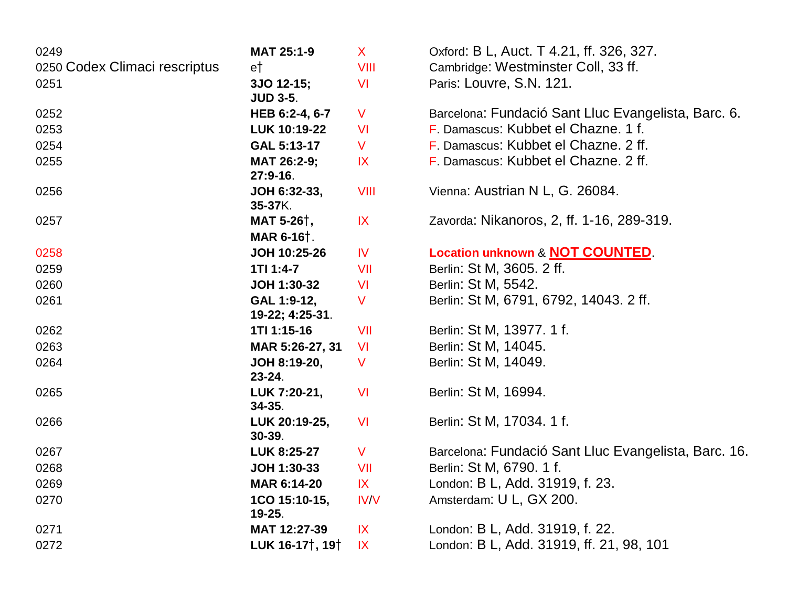| 0249                          | MAT 25:1-9                               | $\mathsf{X}$  | Oxford: B L, Auct. T 4.21, ff. 326, 327.             |
|-------------------------------|------------------------------------------|---------------|------------------------------------------------------|
| 0250 Codex Climaci rescriptus | et                                       | <b>VIII</b>   | Cambridge: Westminster Coll, 33 ff.                  |
| 0251                          | 3JO 12-15;<br><b>JUD 3-5.</b>            | VI            | Paris: Louvre, S.N. 121.                             |
| 0252                          | HEB 6:2-4, 6-7                           | V             | Barcelona: Fundació Sant Lluc Evangelista, Barc. 6.  |
| 0253                          | LUK 10:19-22                             | <b>VI</b>     | F. Damascus: Kubbet el Chazne. 1 f.                  |
| 0254                          | GAL 5:13-17                              | V             | F. Damascus: Kubbet el Chazne, 2 ff.                 |
| 0255                          | MAT 26:2-9;<br>$27:9-16.$                | $\mathsf{IX}$ | F. Damascus: Kubbet el Chazne. 2 ff.                 |
| 0256                          | JOH 6:32-33,<br>35-37K.                  | VIII          | Vienna: Austrian N L, G. 26084.                      |
| 0257                          | MAT 5-26 <sup>†</sup> ,<br>MAR 6-16†.    | IX            | Zavorda: Nikanoros, 2, ff. 1-16, 289-319.            |
| 0258                          | <b>JOH 10:25-26</b>                      | <b>IV</b>     | Location unknown & NOT COUNTED.                      |
| 0259                          | 1TI 1:4-7                                | VII           | Berlin: St M, 3605. 2 ff.                            |
| 0260                          | JOH 1:30-32                              | VI            | Berlin: St M, 5542.                                  |
| 0261                          | GAL 1:9-12,<br>19-22; 4:25-31.           | V             | Berlin: St M, 6791, 6792, 14043. 2 ff.               |
| 0262                          | 1TI 1:15-16                              | VII           | Berlin: St M, 13977. 1 f.                            |
| 0263                          | MAR 5:26-27, 31                          | <b>VI</b>     | Berlin: St M, 14045.                                 |
| 0264                          | JOH 8:19-20,<br>$23 - 24$ .              | V             | Berlin: St M, 14049.                                 |
| 0265                          | LUK 7:20-21,<br>$34 - 35.$               | <b>VI</b>     | Berlin: St M, 16994.                                 |
| 0266                          | LUK 20:19-25,<br>30-39.                  | <b>VI</b>     | Berlin: St M, 17034. 1 f.                            |
| 0267                          | LUK 8:25-27                              | V             | Barcelona: Fundació Sant Lluc Evangelista, Barc. 16. |
| 0268                          | JOH 1:30-33                              | VII           | Berlin: St M, 6790. 1 f.                             |
| 0269                          | MAR 6:14-20                              | IX            | London: B L, Add. 31919, f. 23.                      |
| 0270                          | 1CO 15:10-15,<br>19-25.                  | <b>IV/V</b>   | Amsterdam: U L, GX 200.                              |
| 0271                          | MAT 12:27-39                             | IX            | London: B L, Add. 31919, f. 22.                      |
| 0272                          | LUK 16-17 <sup>†</sup> , 19 <sup>†</sup> | IX            | London: B L, Add. 31919, ff. 21, 98, 101             |
|                               |                                          |               |                                                      |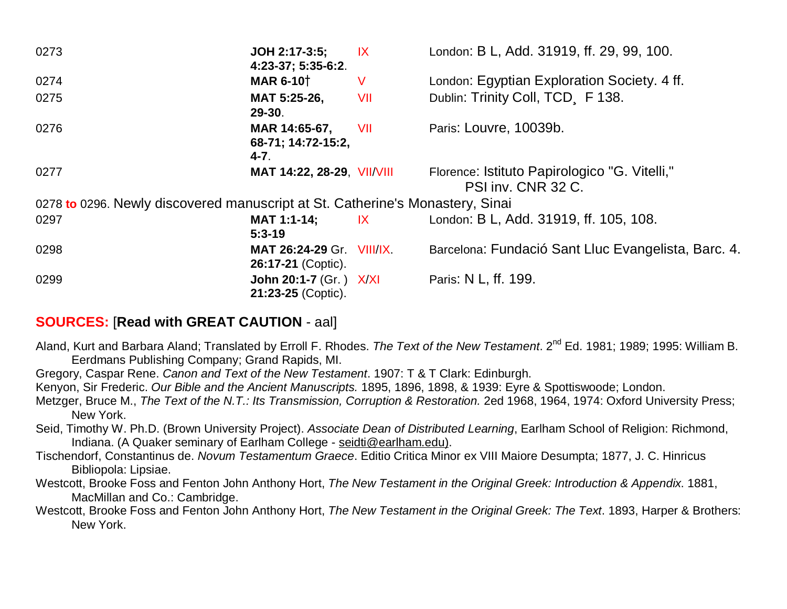| 0273                                                                          | JOH 2:17-3:5;<br>4:23-37; 5:35-6:2.             | IX                          | London: B L, Add. 31919, ff. 29, 99, 100.                           |
|-------------------------------------------------------------------------------|-------------------------------------------------|-----------------------------|---------------------------------------------------------------------|
| 0274                                                                          | <b>MAR 6-10</b> <sup>†</sup>                    | V                           | London: Egyptian Exploration Society. 4 ff.                         |
| 0275                                                                          | MAT 5:25-26,<br>29-30.                          | VII                         | Dublin: Trinity Coll, TCD F 138.                                    |
| 0276                                                                          | MAR 14:65-67,<br>68-71; 14:72-15:2,<br>$4 - 7.$ | VII                         | Paris: Louvre, 10039b.                                              |
| 0277                                                                          | MAT 14:22, 28-29, VII/VIII                      |                             | Florence: Istituto Papirologico "G. Vitelli,"<br>PSI inv. CNR 32 C. |
| 0278 to 0296. Newly discovered manuscript at St. Catherine's Monastery, Sinai |                                                 |                             |                                                                     |
| 0297                                                                          | <b>MAT 1:1-14;</b><br>$5:3-19$                  | $\mathsf{I}$ X $\mathsf{I}$ | London: B L, Add. 31919, ff. 105, 108.                              |
| 0298                                                                          | MAT 26:24-29 Gr. VIII/IX.<br>26:17-21 (Coptic). |                             | Barcelona: Fundació Sant Lluc Evangelista, Barc. 4.                 |
| 0299                                                                          | John 20:1-7 (Gr.) X/XI<br>21:23-25 (Coptic).    |                             | Paris: N L, ff. 199.                                                |

# **SOURCES:** [**Read with GREAT CAUTION** - aal]

- Aland, Kurt and Barbara Aland; Translated by Erroll F. Rhodes. *The Text of the New Testament*. 2nd Ed. 1981; 1989; 1995: William B. Eerdmans Publishing Company; Grand Rapids, MI.
- Gregory, Caspar Rene. *Canon and Text of the New Testament*. 1907: T & T Clark: Edinburgh.
- Kenyon, Sir Frederic. *Our Bible and the Ancient Manuscripts.* 1895, 1896, 1898, & 1939: Eyre & Spottiswoode; London.
- Metzger, Bruce M., *The Text of the N.T.: Its Transmission, Corruption & Restoration.* 2ed 1968, 1964, 1974: Oxford University Press; New York.
- Seid, Timothy W. Ph.D. (Brown University Project). *Associate Dean of Distributed Learning*, Earlham School of Religion: Richmond, Indiana. (A Quaker seminary of Earlham College - [seidti@earlham.edu\).](mailto:seidti@earlham.edu))
- Tischendorf, Constantinus de. *Novum Testamentum Graece*. Editio Critica Minor ex VIII Maiore Desumpta; 1877, J. C. Hinricus Bibliopola: Lipsiae.
- Westcott, Brooke Foss and Fenton John Anthony Hort, *The New Testament in the Original Greek: Introduction & Appendix*. 1881, MacMillan and Co.: Cambridge.
- Westcott, Brooke Foss and Fenton John Anthony Hort, *The New Testament in the Original Greek: The Text*. 1893, Harper & Brothers: New York.